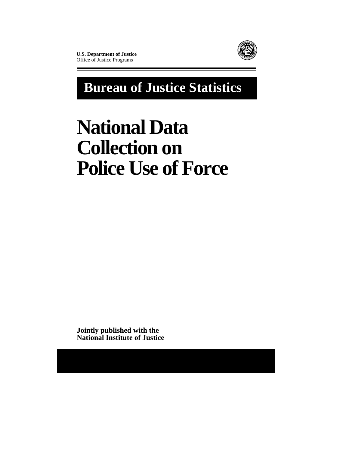**U.S. Department of Justice** Office of Justice Programs



**Bureau of Justice Statistics**

# **National Data Collection on Police Use of Force**

**Jointly published with the National Institute of Justice**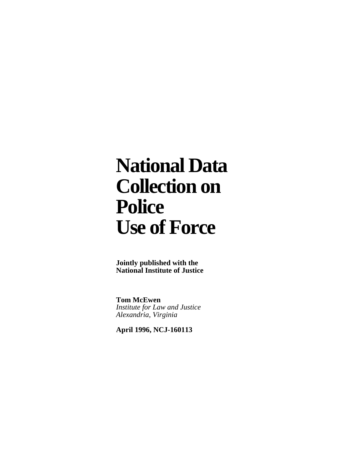# **National Data Collection on Police Use of Force**

**Jointly published with the National Institute of Justice**

**Tom McEwen** *Institute for Law and Justice Alexandria, Virginia*

**April 1996, NCJ-160113**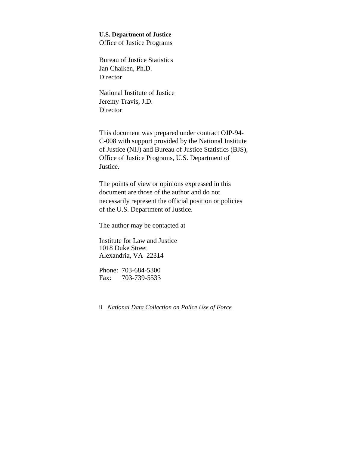#### **U.S. Department of Justice** Office of Justice Programs

Bureau of Justice Statistics Jan Chaiken, Ph.D. **Director** 

National Institute of Justice Jeremy Travis, J.D. **Director** 

This document was prepared under contract OJP-94- C-008 with support provided by the National Institute of Justice (NIJ) and Bureau of Justice Statistics (BJS), Office of Justice Programs, U.S. Department of Justice.

The points of view or opinions expressed in this document are those of the author and do not necessarily represent the official position or policies of the U.S. Department of Justice.

The author may be contacted at

Institute for Law and Justice 1018 Duke Street Alexandria, VA 22314

Phone: 703-684-5300 Fax: 703-739-5533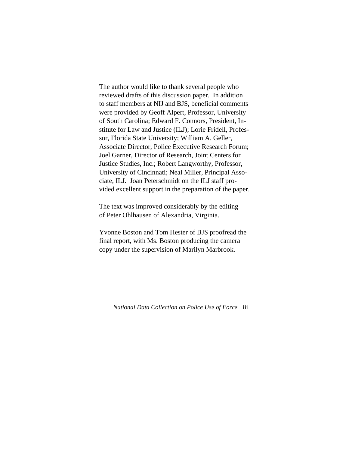The author would like to thank several people who reviewed drafts of this discussion paper. In addition to staff members at NIJ and BJS, beneficial comments were provided by Geoff Alpert, Professor, University of South Carolina; Edward F. Connors, President, Institute for Law and Justice (ILJ); Lorie Fridell, Professor, Florida State University; William A. Geller, Associate Director, Police Executive Research Forum; Joel Garner, Director of Research, Joint Centers for Justice Studies, Inc.; Robert Langworthy, Professor, University of Cincinnati; Neal Miller, Principal Associate, ILJ. Joan Peterschmidt on the ILJ staff provided excellent support in the preparation of the paper.

The text was improved considerably by the editing of Peter Ohlhausen of Alexandria, Virginia.

Yvonne Boston and Tom Hester of BJS proofread the final report, with Ms. Boston producing the camera copy under the supervision of Marilyn Marbrook.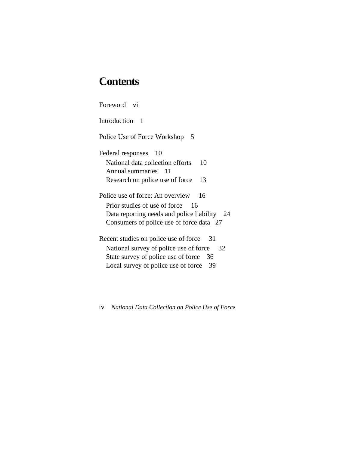# **Contents**

| Foreword<br>V1                                                                                |
|-----------------------------------------------------------------------------------------------|
| <b>Introduction</b><br>1                                                                      |
| Police Use of Force Workshop<br>5                                                             |
| Federal responses<br>10                                                                       |
| National data collection efforts<br>10<br>Annual summaries 11                                 |
| Research on police use of force<br>13                                                         |
| Police use of force: An overview<br>16                                                        |
| Prior studies of use of force<br>16                                                           |
| Data reporting needs and police liability<br>- 24<br>Consumers of police use of force data 27 |
| Recent studies on police use of force<br>31                                                   |
| National survey of police use of force 32                                                     |
| State survey of police use of force<br>36                                                     |
| Local survey of police use of force<br>39                                                     |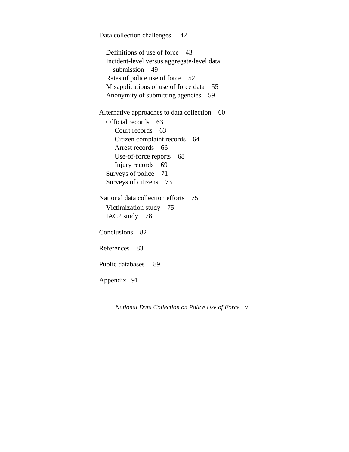Data collection challenges 42

Definitions of use of force 43 Incident-level versus aggregate-level data submission 49 Rates of police use of force 52 Misapplications of use of force data 55 Anonymity of submitting agencies 59

Alternative approaches to data collection 60 Official records 63 Court records 63 Citizen complaint records 64 Arrest records 66 Use-of-force reports 68 Injury records 69 Surveys of police 71 Surveys of citizens 73

National data collection efforts 75 Victimization study 75 IACP study 78

Conclusions 82

References 83

Public databases 89

Appendix 91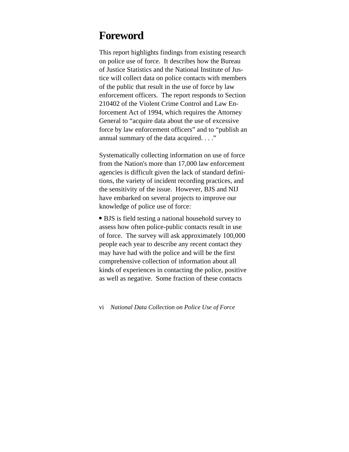# **Foreword**

This report highlights findings from existing research on police use of force. It describes how the Bureau of Justice Statistics and the National Institute of Justice will collect data on police contacts with members of the public that result in the use of force by law enforcement officers. The report responds to Section 210402 of the Violent Crime Control and Law Enforcement Act of 1994, which requires the Attorney General to "acquire data about the use of excessive force by law enforcement officers" and to "publish an annual summary of the data acquired. . . ."

Systematically collecting information on use of force from the Nation's more than 17,000 law enforcement agencies is difficult given the lack of standard definitions, the variety of incident recording practices, and the sensitivity of the issue. However, BJS and NIJ have embarked on several projects to improve our knowledge of police use of force:

 BJS is field testing a national household survey to assess how often police-public contacts result in use of force. The survey will ask approximately 100,000 people each year to describe any recent contact they may have had with the police and will be the first comprehensive collection of information about all kinds of experiences in contacting the police, positive as well as negative. Some fraction of these contacts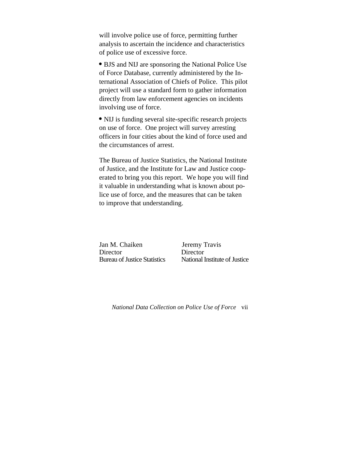will involve police use of force, permitting further analysis to ascertain the incidence and characteristics of police use of excessive force.

 BJS and NIJ are sponsoring the National Police Use of Force Database, currently administered by the International Association of Chiefs of Police. This pilot project will use a standard form to gather information directly from law enforcement agencies on incidents involving use of force.

 NIJ is funding several site-specific research projects on use of force. One project will survey arresting officers in four cities about the kind of force used and the circumstances of arrest.

The Bureau of Justice Statistics, the National Institute of Justice, and the Institute for Law and Justice cooperated to bring you this report. We hope you will find it valuable in understanding what is known about police use of force, and the measures that can be taken to improve that understanding.

Jan M. Chaiken Jeremy Travis Director Director

Bureau of Justice Statistics National Institute of Justice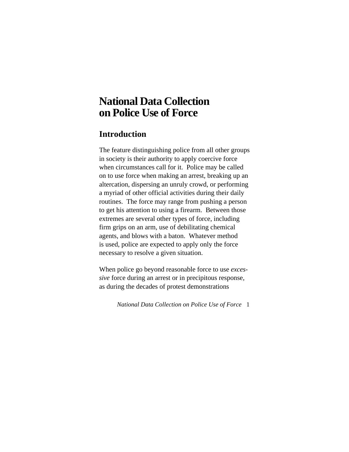# **National Data Collection on Police Use of Force**

## **Introduction**

The feature distinguishing police from all other groups in society is their authority to apply coercive force when circumstances call for it. Police may be called on to use force when making an arrest, breaking up an altercation, dispersing an unruly crowd, or performing a myriad of other official activities during their daily routines. The force may range from pushing a person to get his attention to using a firearm. Between those extremes are several other types of force, including firm grips on an arm, use of debilitating chemical agents, and blows with a baton. Whatever method is used, police are expected to apply only the force necessary to resolve a given situation.

When police go beyond reasonable force to use *excessive* force during an arrest or in precipitous response, as during the decades of protest demonstrations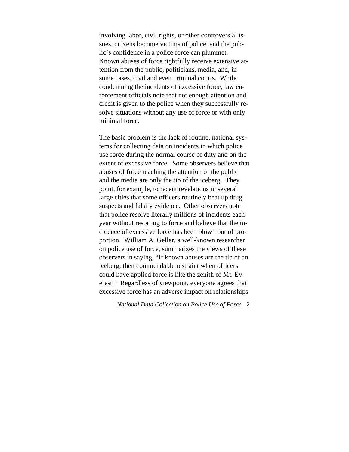involving labor, civil rights, or other controversial issues, citizens become victims of police, and the public's confidence in a police force can plummet. Known abuses of force rightfully receive extensive attention from the public, politicians, media, and, in some cases, civil and even criminal courts. While condemning the incidents of excessive force, law enforcement officials note that not enough attention and credit is given to the police when they successfully resolve situations without any use of force or with only minimal force.

The basic problem is the lack of routine, national systems for collecting data on incidents in which police use force during the normal course of duty and on the extent of excessive force. Some observers believe that abuses of force reaching the attention of the public and the media are only the tip of the iceberg. They point, for example, to recent revelations in several large cities that some officers routinely beat up drug suspects and falsify evidence. Other observers note that police resolve literally millions of incidents each year without resorting to force and believe that the incidence of excessive force has been blown out of proportion. William A. Geller, a well-known researcher on police use of force, summarizes the views of these observers in saying, "If known abuses are the tip of an iceberg, then commendable restraint when officers could have applied force is like the zenith of Mt. Everest." Regardless of viewpoint, everyone agrees that excessive force has an adverse impact on relationships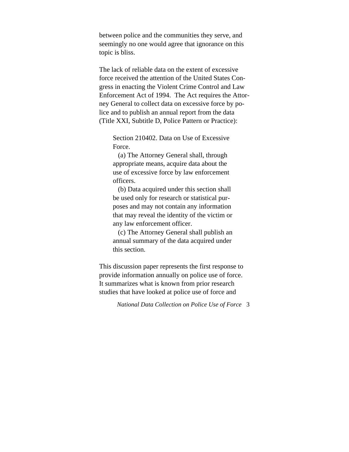between police and the communities they serve, and seemingly no one would agree that ignorance on this topic is bliss.

The lack of reliable data on the extent of excessive force received the attention of the United States Congress in enacting the Violent Crime Control and Law Enforcement Act of 1994. The Act requires the Attorney General to collect data on excessive force by police and to publish an annual report from the data (Title XXI, Subtitle D, Police Pattern or Practice):

Section 210402. Data on Use of Excessive Force.

 (a) The Attorney General shall, through appropriate means, acquire data about the use of excessive force by law enforcement officers.

 (b) Data acquired under this section shall be used only for research or statistical purposes and may not contain any information that may reveal the identity of the victim or any law enforcement officer.

 (c) The Attorney General shall publish an annual summary of the data acquired under this section.

This discussion paper represents the first response to provide information annually on police use of force. It summarizes what is known from prior research studies that have looked at police use of force and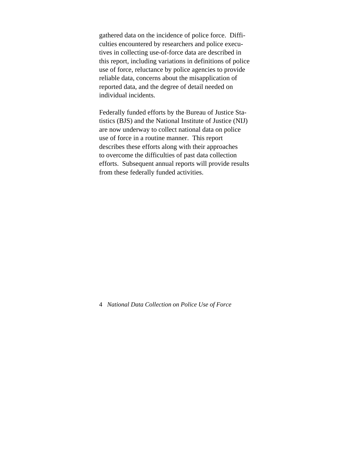gathered data on the incidence of police force. Difficulties encountered by researchers and police executives in collecting use-of-force data are described in this report, including variations in definitions of police use of force, reluctance by police agencies to provide reliable data, concerns about the misapplication of reported data, and the degree of detail needed on individual incidents.

Federally funded efforts by the Bureau of Justice Statistics (BJS) and the National Institute of Justice (NIJ) are now underway to collect national data on police use of force in a routine manner. This report describes these efforts along with their approaches to overcome the difficulties of past data collection efforts. Subsequent annual reports will provide results from these federally funded activities.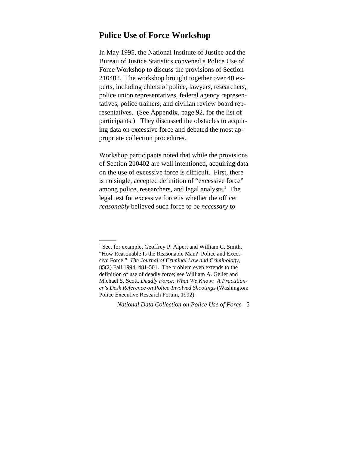## **Police Use of Force Workshop**

In May 1995, the National Institute of Justice and the Bureau of Justice Statistics convened a Police Use of Force Workshop to discuss the provisions of Section 210402. The workshop brought together over 40 experts, including chiefs of police, lawyers, researchers, police union representatives, federal agency representatives, police trainers, and civilian review board representatives. (See Appendix, page 92, for the list of participants.) They discussed the obstacles to acquiring data on excessive force and debated the most appropriate collection procedures.

Workshop participants noted that while the provisions of Section 210402 are well intentioned, acquiring data on the use of excessive force is difficult. First, there is no single, accepted definition of "excessive force" among police, researchers, and legal analysts.<sup>1</sup> The legal test for excessive force is whether the officer *reasonably* believed such force to be *necessary* to

<sup>&</sup>lt;sup>1</sup> See, for example, Geoffrey P. Alpert and William C. Smith, "How Reasonable Is the Reasonable Man? Police and Excessive Force," *The Journal of Criminal Law and Criminology,* 85(2) Fall 1994: 481-501. The problem even extends to the definition of use of deadly force; see William A. Geller and Michael S. Scott, *Deadly Force: What We Know: A Practitioner's Desk Reference on Police-Involved Shootings* (Washington: Police Executive Research Forum, 1992).

*National Data Collection on Police Use of Force* 5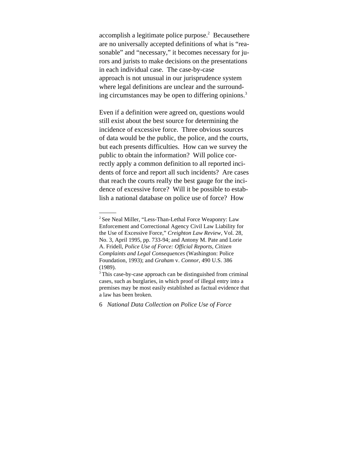accomplish a legitimate police purpose.<sup>2</sup> Becausethere are no universally accepted definitions of what is "reasonable" and "necessary," it becomes necessary for jurors and jurists to make decisions on the presentations in each individual case. The case-by-case approach is not unusual in our jurisprudence system where legal definitions are unclear and the surrounding circumstances may be open to differing opinions.<sup>3</sup>

Even if a definition were agreed on, questions would still exist about the best source for determining the incidence of excessive force. Three obvious sources of data would be the public, the police, and the courts, but each presents difficulties. How can we survey the public to obtain the information? Will police correctly apply a common definition to all reported incidents of force and report all such incidents? Are cases that reach the courts really the best gauge for the incidence of excessive force? Will it be possible to establish a national database on police use of force? How

<sup>2</sup> See Neal Miller, "Less-Than-Lethal Force Weaponry: Law Enforcement and Correctional Agency Civil Law Liability for the Use of Excessive Force," *Creighton Law Review,* Vol. 28, No. 3, April 1995, pp. 733-94; and Antony M. Pate and Lorie A. Fridell, *Police Use of Force: Official Reports, Citizen Complaints and Legal Consequences* (Washington: Police Foundation, 1993); and *Graham* v. *Connor,* 490 U.S. 386 (1989).

<sup>&</sup>lt;sup>3</sup> This case-by-case approach can be distinguished from criminal cases, such as burglaries, in which proof of illegal entry into a premises may be most easily established as factual evidence that a law has been broken.

<sup>6</sup> *National Data Collection on Police Use of Force*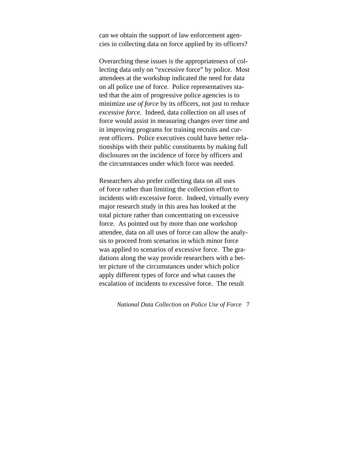can we obtain the support of law enforcement agencies in collecting data on force applied by its officers?

Overarching these issues is the appropriateness of collecting data only on "excessive force" by police. Most attendees at the workshop indicated the need for data on all police use of force. Police representatives stated that the aim of progressive police agencies is to minimize *use of force* by its officers, not just to reduce *excessive force*. Indeed, data collection on all uses of force would assist in measuring changes over time and in improving programs for training recruits and current officers. Police executives could have better relationships with their public constituents by making full disclosures on the incidence of force by officers and the circumstances under which force was needed.

Researchers also prefer collecting data on all uses of force rather than limiting the collection effort to incidents with excessive force. Indeed, virtually every major research study in this area has looked at the total picture rather than concentrating on excessive force. As pointed out by more than one workshop attendee, data on all uses of force can allow the analysis to proceed from scenarios in which minor force was applied to scenarios of excessive force. The gradations along the way provide researchers with a better picture of the circumstances under which police apply different types of force and what causes the escalation of incidents to excessive force. The result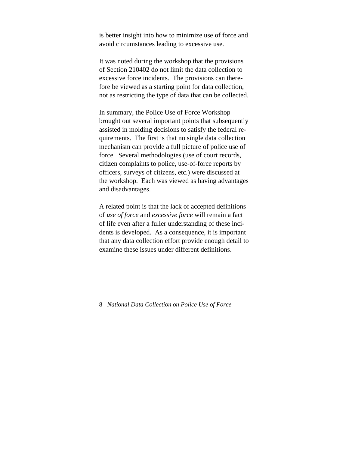is better insight into how to minimize use of force and avoid circumstances leading to excessive use.

It was noted during the workshop that the provisions of Section 210402 do not limit the data collection to excessive force incidents. The provisions can therefore be viewed as a starting point for data collection, not as restricting the type of data that can be collected.

In summary, the Police Use of Force Workshop brought out several important points that subsequently assisted in molding decisions to satisfy the federal requirements. The first is that no single data collection mechanism can provide a full picture of police use of force. Several methodologies (use of court records, citizen complaints to police, use-of-force reports by officers, surveys of citizens, etc.) were discussed at the workshop. Each was viewed as having advantages and disadvantages.

A related point is that the lack of accepted definitions of *use of force* and *excessive force* will remain a fact of life even after a fuller understanding of these incidents is developed. As a consequence, it is important that any data collection effort provide enough detail to examine these issues under different definitions.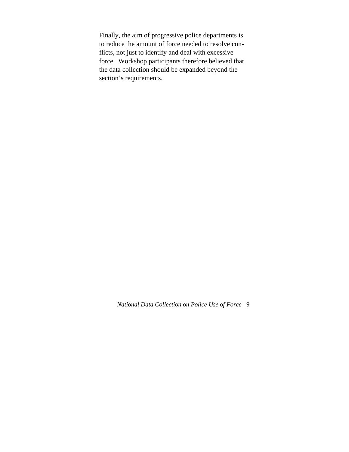Finally, the aim of progressive police departments is to reduce the amount of force needed to resolve conflicts, not just to identify and deal with excessive force. Workshop participants therefore believed that the data collection should be expanded beyond the section's requirements.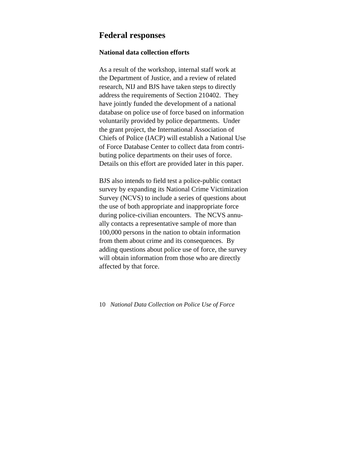## **Federal responses**

#### **National data collection efforts**

As a result of the workshop, internal staff work at the Department of Justice, and a review of related research, NIJ and BJS have taken steps to directly address the requirements of Section 210402. They have jointly funded the development of a national database on police use of force based on information voluntarily provided by police departments. Under the grant project, the International Association of Chiefs of Police (IACP) will establish a National Use of Force Database Center to collect data from contributing police departments on their uses of force. Details on this effort are provided later in this paper.

BJS also intends to field test a police-public contact survey by expanding its National Crime Victimization Survey (NCVS) to include a series of questions about the use of both appropriate and inappropriate force during police-civilian encounters. The NCVS annually contacts a representative sample of more than 100,000 persons in the nation to obtain information from them about crime and its consequences. By adding questions about police use of force, the survey will obtain information from those who are directly affected by that force.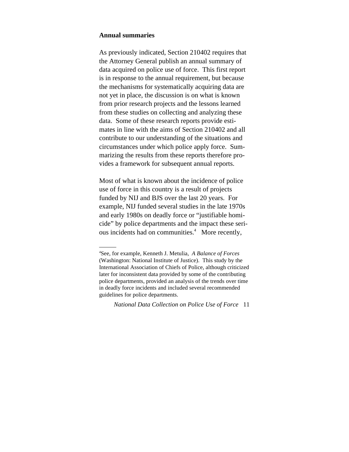#### **Annual summaries**

As previously indicated, Section 210402 requires that the Attorney General publish an annual summary of data acquired on police use of force. This first report is in response to the annual requirement, but because the mechanisms for systematically acquiring data are not yet in place, the discussion is on what is known from prior research projects and the lessons learned from these studies on collecting and analyzing these data. Some of these research reports provide estimates in line with the aims of Section 210402 and all contribute to our understanding of the situations and circumstances under which police apply force. Summarizing the results from these reports therefore provides a framework for subsequent annual reports.

Most of what is known about the incidence of police use of force in this country is a result of projects funded by NIJ and BJS over the last 20 years. For example, NIJ funded several studies in the late 1970s and early 1980s on deadly force or "justifiable homicide" by police departments and the impact these serious incidents had on communities.<sup>4</sup> More recently,

<sup>4</sup> See, for example, Kenneth J. Metulia, *A Balance of Forces* (Washington: National Institute of Justice). This study by the International Association of Chiefs of Police, although criticized later for inconsistent data provided by some of the contributing police departments, provided an analysis of the trends over time in deadly force incidents and included several recommended guidelines for police departments.

*National Data Collection on Police Use of Force* 11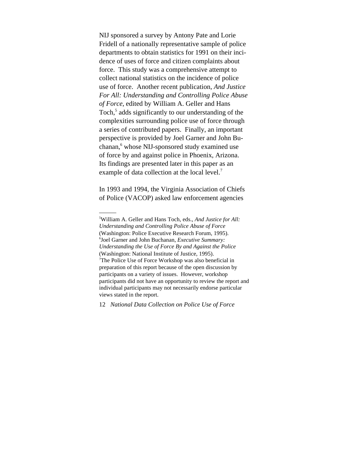NIJ sponsored a survey by Antony Pate and Lorie Fridell of a nationally representative sample of police departments to obtain statistics for 1991 on their incidence of uses of force and citizen complaints about force. This study was a comprehensive attempt to collect national statistics on the incidence of police use of force. Another recent publication, *And Justice For All: Understanding and Controlling Police Abuse of Force*, edited by William A. Geller and Hans Toch,<sup>5</sup> adds significantly to our understanding of the complexities surrounding police use of force through a series of contributed papers. Finally, an important perspective is provided by Joel Garner and John Buchanan,<sup>6</sup> whose NIJ-sponsored study examined use of force by and against police in Phoenix, Arizona. Its findings are presented later in this paper as an example of data collection at the local level.<sup>7</sup>

In 1993 and 1994, the Virginia Association of Chiefs of Police (VACOP) asked law enforcement agencies

<sup>5</sup> William A. Geller and Hans Toch, eds., *And Justice for All: Understanding and Controlling Police Abuse of Force* (Washington: Police Executive Research Forum, 1995). 6 Joel Garner and John Buchanan, *Executive Summary: Understanding the Use of Force By and Against the Police* (Washington: National Institute of Justice, 1995). 7 The Police Use of Force Workshop was also beneficial in preparation of this report because of the open discussion by participants on a variety of issues. However, workshop participants did not have an opportunity to review the report and individual participants may not necessarily endorse particular views stated in the report.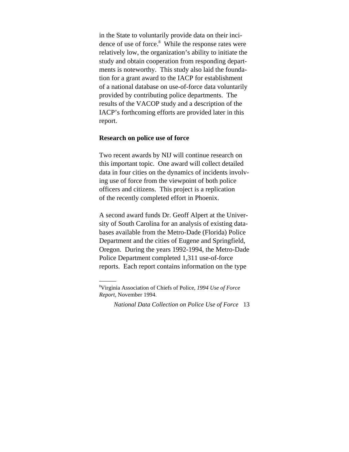in the State to voluntarily provide data on their incidence of use of force.<sup>8</sup> While the response rates were relatively low, the organization's ability to initiate the study and obtain cooperation from responding departments is noteworthy. This study also laid the foundation for a grant award to the IACP for establishment of a national database on use-of-force data voluntarily provided by contributing police departments. The results of the VACOP study and a description of the IACP's forthcoming efforts are provided later in this report.

#### **Research on police use of force**

Two recent awards by NIJ will continue research on this important topic. One award will collect detailed data in four cities on the dynamics of incidents involving use of force from the viewpoint of both police officers and citizens. This project is a replication of the recently completed effort in Phoenix.

A second award funds Dr. Geoff Alpert at the University of South Carolina for an analysis of existing databases available from the Metro-Dade (Florida) Police Department and the cities of Eugene and Springfield, Oregon. During the years 1992-1994, the Metro-Dade Police Department completed 1,311 use-of-force reports. Each report contains information on the type

<sup>8</sup> Virginia Association of Chiefs of Police, *1994 Use of Force Report,* November 1994.

*National Data Collection on Police Use of Force* 13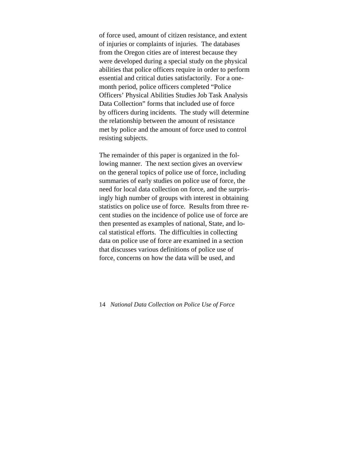of force used, amount of citizen resistance, and extent of injuries or complaints of injuries. The databases from the Oregon cities are of interest because they were developed during a special study on the physical abilities that police officers require in order to perform essential and critical duties satisfactorily. For a onemonth period, police officers completed "Police Officers' Physical Abilities Studies Job Task Analysis Data Collection" forms that included use of force by officers during incidents. The study will determine the relationship between the amount of resistance met by police and the amount of force used to control resisting subjects.

The remainder of this paper is organized in the following manner. The next section gives an overview on the general topics of police use of force, including summaries of early studies on police use of force, the need for local data collection on force, and the surprisingly high number of groups with interest in obtaining statistics on police use of force. Results from three recent studies on the incidence of police use of force are then presented as examples of national, State, and local statistical efforts. The difficulties in collecting data on police use of force are examined in a section that discusses various definitions of police use of force, concerns on how the data will be used, and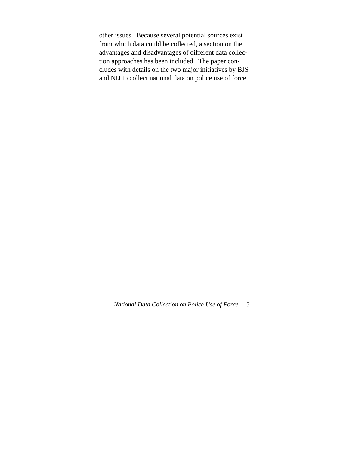other issues. Because several potential sources exist from which data could be collected, a section on the advantages and disadvantages of different data collection approaches has been included. The paper concludes with details on the two major initiatives by BJS and NIJ to collect national data on police use of force.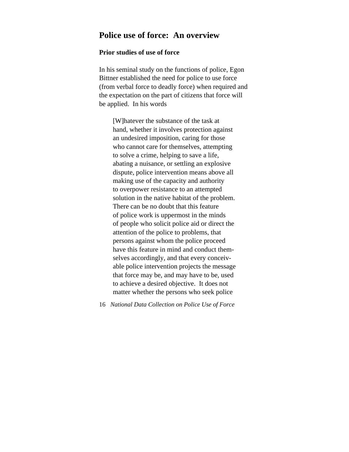## **Police use of force: An overview**

#### **Prior studies of use of force**

In his seminal study on the functions of police, Egon Bittner established the need for police to use force (from verbal force to deadly force) when required and the expectation on the part of citizens that force will be applied. In his words

[W]hatever the substance of the task at hand, whether it involves protection against an undesired imposition, caring for those who cannot care for themselves, attempting to solve a crime, helping to save a life, abating a nuisance, or settling an explosive dispute, police intervention means above all making use of the capacity and authority to overpower resistance to an attempted solution in the native habitat of the problem. There can be no doubt that this feature of police work is uppermost in the minds of people who solicit police aid or direct the attention of the police to problems, that persons against whom the police proceed have this feature in mind and conduct themselves accordingly, and that every conceivable police intervention projects the message that force may be, and may have to be, used to achieve a desired objective. It does not matter whether the persons who seek police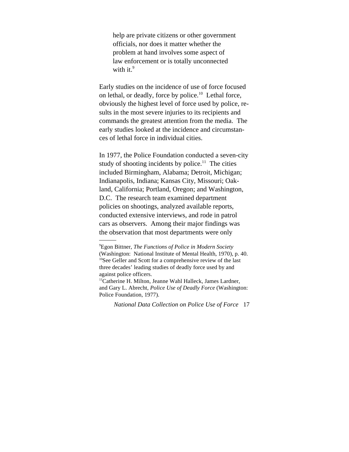help are private citizens or other government officials, nor does it matter whether the problem at hand involves some aspect of law enforcement or is totally unconnected with it. $9$ 

Early studies on the incidence of use of force focused on lethal, or deadly, force by police.10 Lethal force, obviously the highest level of force used by police, results in the most severe injuries to its recipients and commands the greatest attention from the media. The early studies looked at the incidence and circumstances of lethal force in individual cities.

In 1977, the Police Foundation conducted a seven-city study of shooting incidents by police.<sup>11</sup> The cities included Birmingham, Alabama; Detroit, Michigan; Indianapolis, Indiana; Kansas City, Missouri; Oakland, California; Portland, Oregon; and Washington, D.C. The research team examined department policies on shootings, analyzed available reports, conducted extensive interviews, and rode in patrol cars as observers. Among their major findings was the observation that most departments were only

<sup>9</sup> Egon Bittner, *The Functions of Police in Modern Society*  (Washington: National Institute of Mental Health, 1970), p. 40. <sup>10</sup>See Geller and Scott for a comprehensive review of the last three decades' leading studies of deadly force used by and against police officers.

<sup>&</sup>lt;sup>11</sup>Catherine H. Milton, Jeanne Wahl Halleck, James Lardner, and Gary L. Abrecht, *Police Use of Deadly Force* (Washington: Police Foundation, 1977).

*National Data Collection on Police Use of Force* 17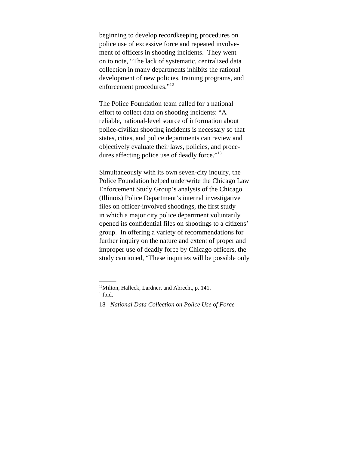beginning to develop recordkeeping procedures on police use of excessive force and repeated involvement of officers in shooting incidents. They went on to note, "The lack of systematic, centralized data collection in many departments inhibits the rational development of new policies, training programs, and enforcement procedures."12

The Police Foundation team called for a national effort to collect data on shooting incidents: "A reliable, national-level source of information about police-civilian shooting incidents is necessary so that states, cities, and police departments can review and objectively evaluate their laws, policies, and procedures affecting police use of deadly force."<sup>13</sup>

Simultaneously with its own seven-city inquiry, the Police Foundation helped underwrite the Chicago Law Enforcement Study Group's analysis of the Chicago (Illinois) Police Department's internal investigative files on officer-involved shootings, the first study in which a major city police department voluntarily opened its confidential files on shootings to a citizens' group. In offering a variety of recommendations for further inquiry on the nature and extent of proper and improper use of deadly force by Chicago officers, the study cautioned, "These inquiries will be possible only

<sup>12</sup>Milton, Halleck, Lardner, and Abrecht, p. 141.  $13$ Ibid.

<sup>18</sup> *National Data Collection on Police Use of Force*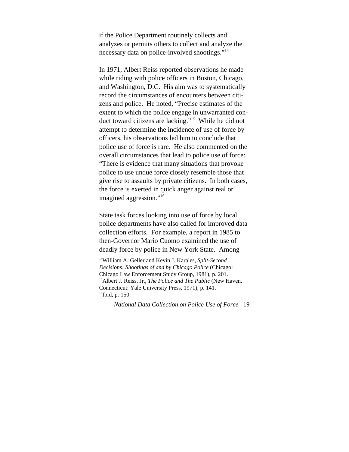if the Police Department routinely collects and analyzes or permits others to collect and analyze the necessary data on police-involved shootings."14

In 1971, Albert Reiss reported observations he made while riding with police officers in Boston, Chicago, and Washington, D.C. His aim was to systematically record the circumstances of encounters between citizens and police. He noted, "Precise estimates of the extent to which the police engage in unwarranted conduct toward citizens are lacking."15 While he did not attempt to determine the incidence of use of force by officers, his observations led him to conclude that police use of force is rare. He also commented on the overall circumstances that lead to police use of force: "There is evidence that many situations that provoke police to use undue force closely resemble those that give rise to assaults by private citizens. In both cases, the force is exerted in quick anger against real or imagined aggression."16

State task forces looking into use of force by local police departments have also called for improved data collection efforts. For example, a report in 1985 to then-Governor Mario Cuomo examined the use of deadly force by police in New York State. Among

14William A. Geller and Kevin J. Karales, *Split-Second Decisions: Shootings of and by Chicago Police* (Chicago: Chicago Law Enforcement Study Group, 1981), p. 201. 15Albert J. Reiss, Jr., *The Police and The Public* (New Haven, Connecticut: Yale University Press, 1971), p. 141. <sup>16</sup>Ibid, p. 150.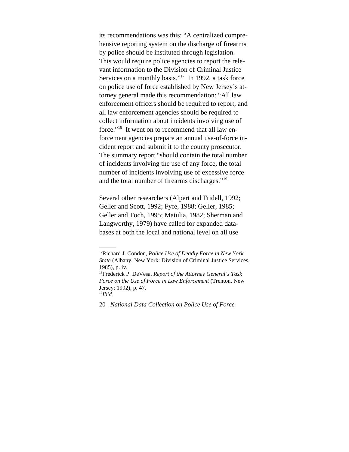its recommendations was this: "A centralized comprehensive reporting system on the discharge of firearms by police should be instituted through legislation. This would require police agencies to report the relevant information to the Division of Criminal Justice Services on a monthly basis."<sup>17</sup> In 1992, a task force on police use of force established by New Jersey's attorney general made this recommendation: "All law enforcement officers should be required to report, and all law enforcement agencies should be required to collect information about incidents involving use of force."<sup>18</sup> It went on to recommend that all law enforcement agencies prepare an annual use-of-force incident report and submit it to the county prosecutor. The summary report "should contain the total number of incidents involving the use of any force, the total number of incidents involving use of excessive force and the total number of firearms discharges."19

Several other researchers (Alpert and Fridell, 1992; Geller and Scott, 1992; Fyfe, 1988; Geller, 1985; Geller and Toch, 1995; Matulia, 1982; Sherman and Langworthy, 1979) have called for expanded databases at both the local and national level on all use

<sup>17</sup>Richard J. Condon, *Police Use of Deadly Force in New York State* (Albany, New York: Division of Criminal Justice Services, 1985), p. iv.

<sup>18</sup>Frederick P. DeVesa, *Report of the Attorney General's Task Force on the Use of Force in Law Enforcement* (Trenton, New Jersey: 1992), p. 47. <sup>19</sup>*Ibid.*

<sup>20</sup> *National Data Collection on Police Use of Force*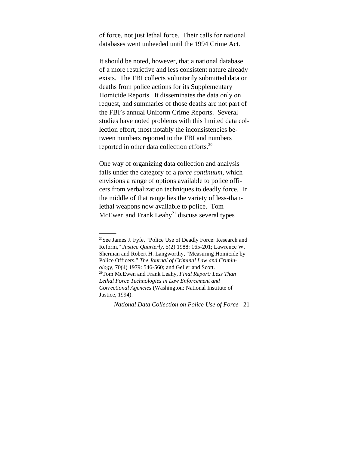of force, not just lethal force. Their calls for national databases went unheeded until the 1994 Crime Act.

It should be noted, however, that a national database of a more restrictive and less consistent nature already exists. The FBI collects voluntarily submitted data on deaths from police actions for its Supplementary Homicide Reports. It disseminates the data only on request, and summaries of those deaths are not part of the FBI's annual Uniform Crime Reports. Several studies have noted problems with this limited data collection effort, most notably the inconsistencies between numbers reported to the FBI and numbers reported in other data collection efforts.20

One way of organizing data collection and analysis falls under the category of a *force continuum*, which envisions a range of options available to police officers from verbalization techniques to deadly force. In the middle of that range lies the variety of less-thanlethal weapons now available to police. Tom McEwen and Frank Leahy<sup>21</sup> discuss several types

<sup>&</sup>lt;sup>20</sup>See James J. Fyfe, "Police Use of Deadly Force: Research and Reform," *Justice Quarterly,* 5(2) 1988: 165-201; Lawrence W. Sherman and Robert H. Langworthy, "Measuring Homicide by Police Officers," *The Journal of Criminal Law and Criminology,* 70(4) 1979: 546-560; and Geller and Scott. 21Tom McEwen and Frank Leahy, *Final Report: Less Than Lethal Force Technologies in Law Enforcement and Correctional Agencies* (Washington: National Institute of Justice, 1994).

*National Data Collection on Police Use of Force* 21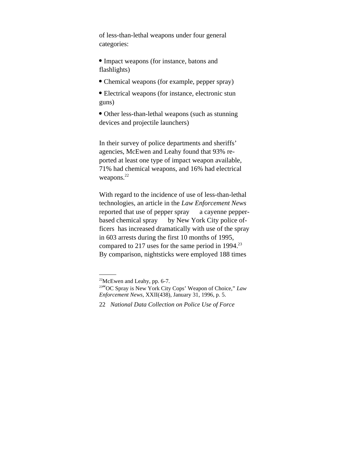of less-than-lethal weapons under four general categories:

- Impact weapons (for instance, batons and flashlights)
- Chemical weapons (for example, pepper spray)
- Electrical weapons (for instance, electronic stun guns)

• Other less-than-lethal weapons (such as stunning) devices and projectile launchers)

In their survey of police departments and sheriffs' agencies, McEwen and Leahy found that 93% reported at least one type of impact weapon available, 71% had chemical weapons, and 16% had electrical weapons.<sup>22</sup>

With regard to the incidence of use of less-than-lethal technologies, an article in the *Law Enforcement News* reported that use of pepper spray — a cayenne pepperbased chemical spray — by New York City police officers has increased dramatically with use of the spray in 603 arrests during the first 10 months of 1995, compared to 217 uses for the same period in  $1994.<sup>23</sup>$ By comparison, nightsticks were employed 188 times

 $22$ McEwen and Leahy, pp. 6-7.

<sup>23&</sup>quot;OC Spray is New York City Cops' Weapon of Choice," *Law Enforcement News*, XXII(438), January 31, 1996, p. 5.

<sup>22</sup> *National Data Collection on Police Use of Force*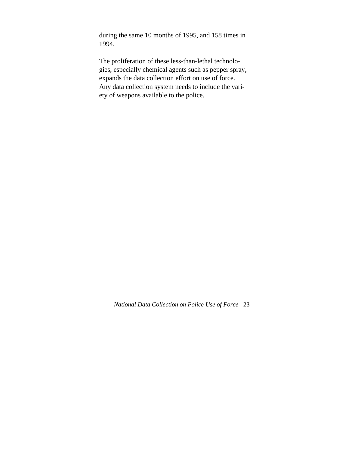during the same 10 months of 1995, and 158 times in 1994.

The proliferation of these less-than-lethal technologies, especially chemical agents such as pepper spray, expands the data collection effort on use of force. Any data collection system needs to include the variety of weapons available to the police.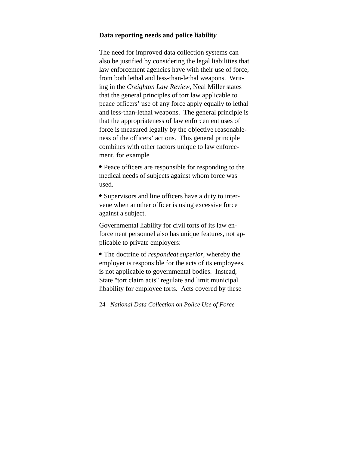#### **Data reporting needs and police liabilit***y*

The need for improved data collection systems can also be justified by considering the legal liabilities that law enforcement agencies have with their use of force, from both lethal and less-than-lethal weapons. Writing in the *Creighton Law Review*, Neal Miller states that the general principles of tort law applicable to peace officers' use of any force apply equally to lethal and less-than-lethal weapons. The general principle is that the appropriateness of law enforcement uses of force is measured legally by the objective reasonableness of the officers' actions. This general principle combines with other factors unique to law enforcement, for example

 Peace officers are responsible for responding to the medical needs of subjects against whom force was used.

 Supervisors and line officers have a duty to intervene when another officer is using excessive force against a subject.

Governmental liability for civil torts of its law enforcement personnel also has unique features, not applicable to private employers:

 The doctrine of *respondeat superior*, whereby the employer is responsible for the acts of its employees, is not applicable to governmental bodies. Instead, State "tort claim acts" regulate and limit municipal libability for employee torts. Acts covered by these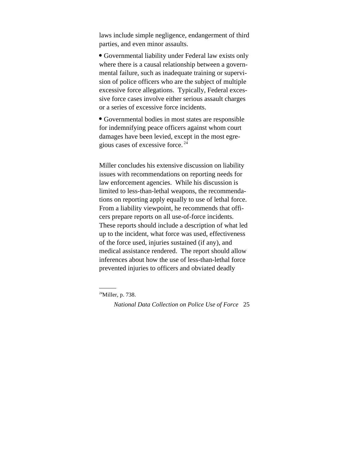laws include simple negligence, endangerment of third parties, and even minor assaults.

 Governmental liability under Federal law exists only where there is a causal relationship between a governmental failure, such as inadequate training or supervision of police officers who are the subject of multiple excessive force allegations. Typically, Federal excessive force cases involve either serious assault charges or a series of excessive force incidents.

 Governmental bodies in most states are responsible for indemnifying peace officers against whom court damages have been levied, except in the most egregious cases of excessive force. 24

Miller concludes his extensive discussion on liability issues with recommendations on reporting needs for law enforcement agencies. While his discussion is limited to less-than-lethal weapons, the recommendations on reporting apply equally to use of lethal force. From a liability viewpoint, he recommends that officers prepare reports on all use-of-force incidents. These reports should include a description of what led up to the incident, what force was used, effectiveness of the force used, injuries sustained (if any), and medical assistance rendered. The report should allow inferences about how the use of less-than-lethal force prevented injuries to officers and obviated deadly

 $24$ Miller, p. 738.

*National Data Collection on Police Use of Force* 25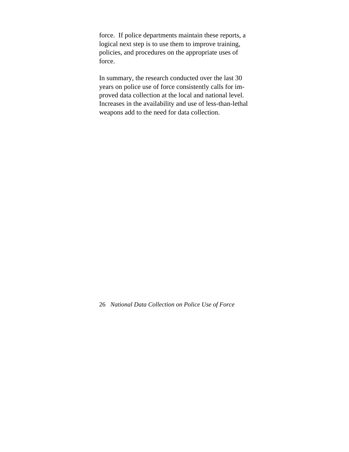force. If police departments maintain these reports, a logical next step is to use them to improve training, policies, and procedures on the appropriate uses of force.

In summary, the research conducted over the last 30 years on police use of force consistently calls for improved data collection at the local and national level. Increases in the availability and use of less-than-lethal weapons add to the need for data collection.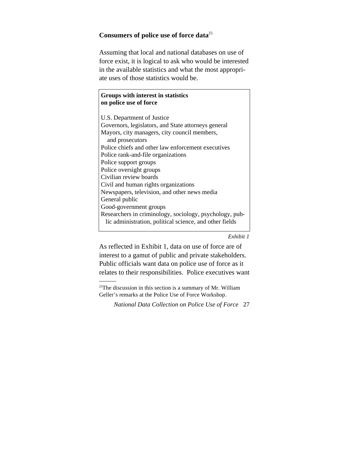### **Consumers of police use of force data**<sup>25</sup>

Assuming that local and national databases on use of force exist, it is logical to ask who would be interested in the available statistics and what the most appropriate uses of those statistics would be.

#### **Groups with interest in statistics on police use of force**

| U.S. Department of Justice                              |
|---------------------------------------------------------|
| Governors, legislators, and State attorneys general     |
| Mayors, city managers, city council members,            |
| and prosecutors                                         |
| Police chiefs and other law enforcement executives      |
| Police rank-and-file organizations                      |
| Police support groups                                   |
| Police oversight groups                                 |
| Civilian review boards                                  |
| Civil and human rights organizations                    |
| Newspapers, television, and other news media            |
| General public                                          |
| Good-government groups                                  |
| Researchers in criminology, sociology, psychology, pub- |
| lic administration, political science, and other fields |
|                                                         |

*Exhibit 1*

As reflected in Exhibit 1, data on use of force are of interest to a gamut of public and private stakeholders. Public officials want data on police use of force as it relates to their responsibilities. Police executives want

 $25$ The discussion in this section is a summary of Mr. William Geller's remarks at the Police Use of Force Workshop.

*National Data Collection on Police Use of Force* 27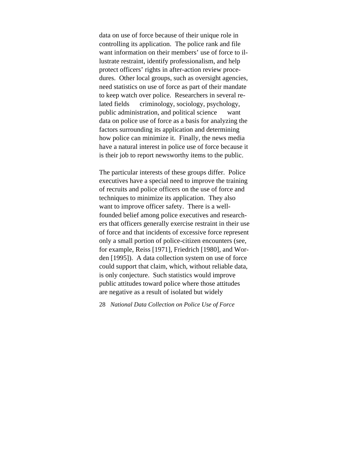data on use of force because of their unique role in controlling its application. The police rank and file want information on their members' use of force to illustrate restraint, identify professionalism, and help protect officers' rights in after-action review procedures. Other local groups, such as oversight agencies, need statistics on use of force as part of their mandate to keep watch over police. Researchers in several re- $\lambda$  lated fields — criminology, sociology, psychology, public administration, and political science want data on police use of force as a basis for analyzing the factors surrounding its application and determining how police can minimize it. Finally, the news media have a natural interest in police use of force because it is their job to report newsworthy items to the public.

The particular interests of these groups differ. Police executives have a special need to improve the training of recruits and police officers on the use of force and techniques to minimize its application. They also want to improve officer safety. There is a wellfounded belief among police executives and researchers that officers generally exercise restraint in their use of force and that incidents of excessive force represent only a small portion of police-citizen encounters (see, for example, Reiss [1971], Friedrich [1980], and Worden [1995]). A data collection system on use of force could support that claim, which, without reliable data, is only conjecture. Such statistics would improve public attitudes toward police where those attitudes are negative as a result of isolated but widely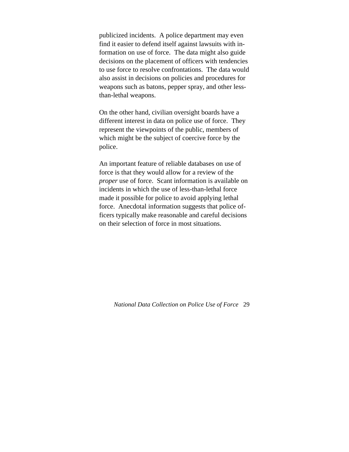publicized incidents. A police department may even find it easier to defend itself against lawsuits with information on use of force. The data might also guide decisions on the placement of officers with tendencies to use force to resolve confrontations. The data would also assist in decisions on policies and procedures for weapons such as batons, pepper spray, and other lessthan-lethal weapons.

On the other hand, civilian oversight boards have a different interest in data on police use of force. They represent the viewpoints of the public, members of which might be the subject of coercive force by the police.

An important feature of reliable databases on use of force is that they would allow for a review of the *proper* use of force. Scant information is available on incidents in which the use of less-than-lethal force made it possible for police to avoid applying lethal force. Anecdotal information suggests that police officers typically make reasonable and careful decisions on their selection of force in most situations.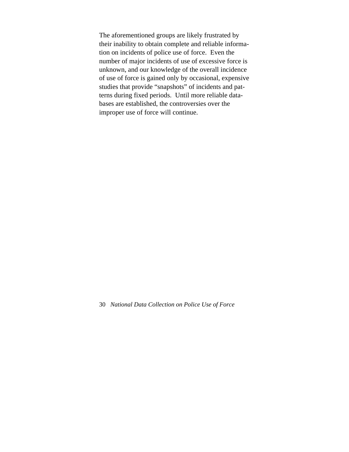The aforementioned groups are likely frustrated by their inability to obtain complete and reliable information on incidents of police use of force. Even the number of major incidents of use of excessive force is unknown, and our knowledge of the overall incidence of use of force is gained only by occasional, expensive studies that provide "snapshots" of incidents and patterns during fixed periods. Until more reliable databases are established, the controversies over the improper use of force will continue.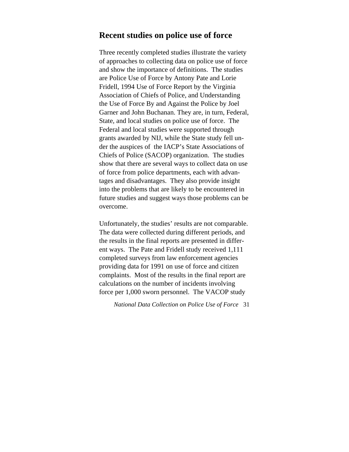# **Recent studies on police use of force**

Three recently completed studies illustrate the variety of approaches to collecting data on police use of force and show the importance of definitions. The studies are Police Use of Force by Antony Pate and Lorie Fridell, 1994 Use of Force Report by the Virginia Association of Chiefs of Police, and Understanding the Use of Force By and Against the Police by Joel Garner and John Buchanan. They are, in turn, Federal, State, and local studies on police use of force. The Federal and local studies were supported through grants awarded by NIJ, while the State study fell under the auspices of the IACP's State Associations of Chiefs of Police (SACOP) organization. The studies show that there are several ways to collect data on use of force from police departments, each with advantages and disadvantages. They also provide insight into the problems that are likely to be encountered in future studies and suggest ways those problems can be overcome.

Unfortunately, the studies' results are not comparable. The data were collected during different periods, and the results in the final reports are presented in different ways. The Pate and Fridell study received 1,111 completed surveys from law enforcement agencies providing data for 1991 on use of force and citizen complaints. Most of the results in the final report are calculations on the number of incidents involving force per 1,000 sworn personnel. The VACOP study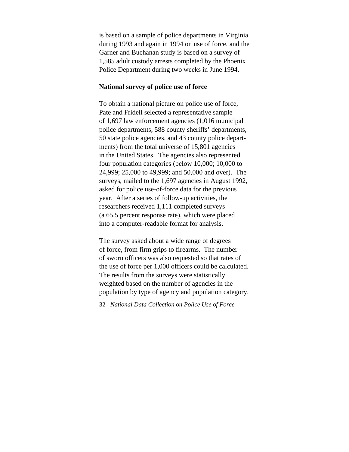is based on a sample of police departments in Virginia during 1993 and again in 1994 on use of force, and the Garner and Buchanan study is based on a survey of 1,585 adult custody arrests completed by the Phoenix Police Department during two weeks in June 1994.

#### **National survey of police use of force**

To obtain a national picture on police use of force, Pate and Fridell selected a representative sample of 1,697 law enforcement agencies (1,016 municipal police departments, 588 county sheriffs' departments, 50 state police agencies, and 43 county police departments) from the total universe of 15,801 agencies in the United States. The agencies also represented four population categories (below 10,000; 10,000 to 24,999; 25,000 to 49,999; and 50,000 and over). The surveys, mailed to the 1,697 agencies in August 1992, asked for police use-of-force data for the previous year. After a series of follow-up activities, the researchers received 1,111 completed surveys (a 65.5 percent response rate), which were placed into a computer-readable format for analysis.

The survey asked about a wide range of degrees of force, from firm grips to firearms. The number of sworn officers was also requested so that rates of the use of force per 1,000 officers could be calculated. The results from the surveys were statistically weighted based on the number of agencies in the population by type of agency and population category.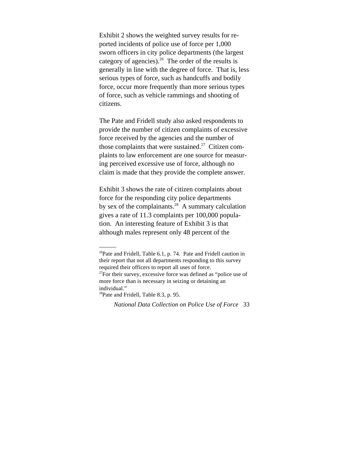Exhibit 2 shows the weighted survey results for reported incidents of police use of force per 1,000 sworn officers in city police departments (the largest category of agencies).<sup>26</sup> The order of the results is generally in line with the degree of force. That is, less serious types of force, such as handcuffs and bodily force, occur more frequently than more serious types of force, such as vehicle rammings and shooting of citizens.

The Pate and Fridell study also asked respondents to provide the number of citizen complaints of excessive force received by the agencies and the number of those complaints that were sustained.<sup>27</sup> Citizen complaints to law enforcement are one source for measuring perceived excessive use of force, although no claim is made that they provide the complete answer.

Exhibit 3 shows the rate of citizen complaints about force for the responding city police departments by sex of the complainants.<sup>28</sup> A summary calculation gives a rate of 11.3 complaints per 100,000 population. An interesting feature of Exhibit 3 is that although males represent only 48 percent of the

 $26P$ ate and Fridell, Table 6.1, p. 74. Pate and Fridell caution in their report that not all departments responding to this survey required their officers to report all uses of force.  $27$ For their survey, excessive force was defined as "police use of more force than is necessary in seizing or detaining an individual."

<sup>&</sup>lt;sup>28</sup>Pate and Fridell, Table 8.3, p. 95.

*National Data Collection on Police Use of Force* 33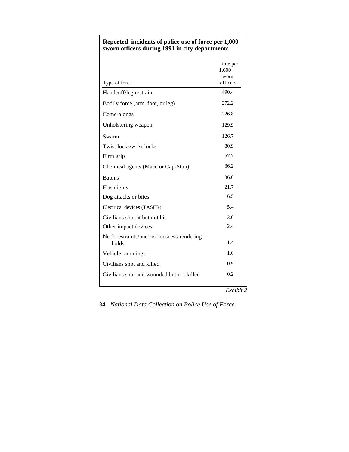|                                                    | Rate per<br>1,000<br>sworn |
|----------------------------------------------------|----------------------------|
| Type of force                                      | officers                   |
| Handcuff/leg restraint                             | 490.4                      |
| Bodily force (arm, foot, or leg)                   | 272.2                      |
| Come-alongs                                        | 226.8                      |
| Unholstering weapon                                | 129.9                      |
| Swarm                                              | 126.7                      |
| Twist locks/wrist locks                            | 80.9                       |
| Firm grip                                          | 57.7                       |
| Chemical agents (Mace or Cap-Stun)                 | 36.2                       |
| <b>Batons</b>                                      | 36.0                       |
| Flashlights                                        | 21.7                       |
| Dog attacks or bites                               | 6.5                        |
| Electrical devices (TASER)                         | 5.4                        |
| Civilians shot at but not hit                      | 3.0                        |
| Other impact devices                               | 2.4                        |
| Neck restraints/unconsciousness-rendering<br>holds | 1.4                        |
| Vehicle rammings                                   | 1.0                        |
| Civilians shot and killed                          | 0.9                        |
| Civilians shot and wounded but not killed          | 0.2                        |
|                                                    | Exhibit 2                  |

#### **Reported incidents of police use of force per 1,000 sworn officers during 1991 in city departments**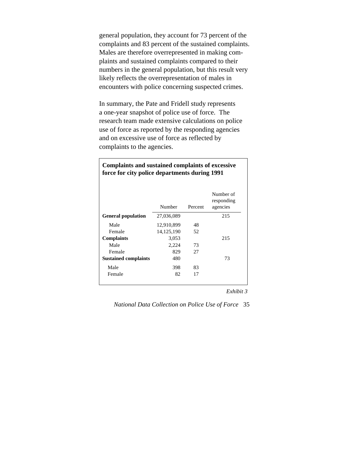general population, they account for 73 percent of the complaints and 83 percent of the sustained complaints. Males are therefore overrepresented in making complaints and sustained complaints compared to their numbers in the general population, but this result very likely reflects the overrepresentation of males in encounters with police concerning suspected crimes.

In summary, the Pate and Fridell study represents a one-year snapshot of police use of force. The research team made extensive calculations on police use of force as reported by the responding agencies and on excessive use of force as reflected by complaints to the agencies.

|                             | Number       | Percent | Number of<br>responding<br>agencies |
|-----------------------------|--------------|---------|-------------------------------------|
| <b>General population</b>   | 27,036,089   |         | 215                                 |
| Male                        | 12,910,899   | 48      |                                     |
| Female                      | 14, 125, 190 | 52      |                                     |
| <b>Complaints</b>           | 3,053        |         | 215                                 |
| Male                        | 2,224        | 73      |                                     |
| Female                      | 829          | 27      |                                     |
| <b>Sustained complaints</b> | 480          |         | 73                                  |
| Male                        | 398          | 83      |                                     |
| Female                      | 82           | 17      |                                     |
|                             |              |         |                                     |

## **Complaints and sustained complaints of excessive force for city police departments during 1991**

*Exhibit 3*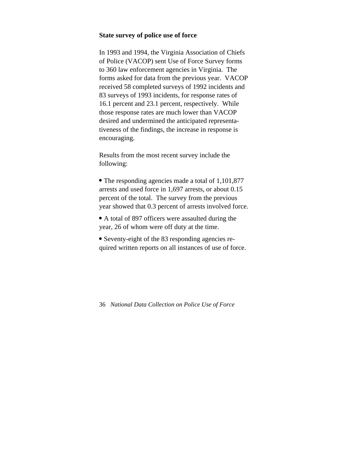#### **State survey of police use of force**

In 1993 and 1994, the Virginia Association of Chiefs of Police (VACOP) sent Use of Force Survey forms to 360 law enforcement agencies in Virginia. The forms asked for data from the previous year. VACOP received 58 completed surveys of 1992 incidents and 83 surveys of 1993 incidents, for response rates of 16.1 percent and 23.1 percent, respectively. While those response rates are much lower than VACOP desired and undermined the anticipated representativeness of the findings, the increase in response is encouraging.

Results from the most recent survey include the following:

 The responding agencies made a total of 1,101,877 arrests and used force in 1,697 arrests, or about 0.15 percent of the total. The survey from the previous year showed that 0.3 percent of arrests involved force.

 A total of 897 officers were assaulted during the year, 26 of whom were off duty at the time.

 Seventy-eight of the 83 responding agencies required written reports on all instances of use of force.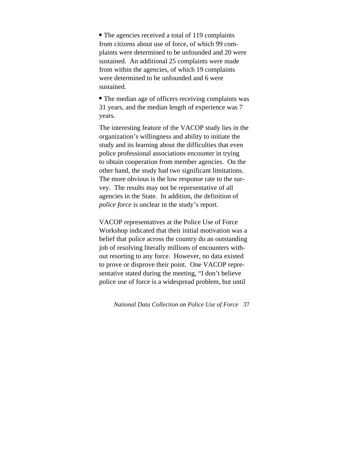The agencies received a total of 119 complaints from citizens about use of force, of which 99 complaints were determined to be unfounded and 20 were sustained. An additional 25 complaints were made from within the agencies, of which 19 complaints were determined to be unfounded and 6 were sustained.

 The median age of officers receiving complaints was 31 years, and the median length of experience was 7 years.

The interesting feature of the VACOP study lies in the organization's willingness and ability to initiate the study and its learning about the difficulties that even police professional associations encounter in trying to obtain cooperation from member agencies. On the other hand, the study had two significant limitations. The more obvious is the low response rate to the survey. The results may not be representative of all agencies in the State. In addition, the definition of *police force* is unclear in the study's report.

VACOP representatives at the Police Use of Force Workshop indicated that their initial motivation was a belief that police across the country do an outstanding job of resolving literally millions of encounters without resorting to any force. However, no data existed to prove or disprove their point. One VACOP representative stated during the meeting, "I don't believe police use of force is a widespread problem, but until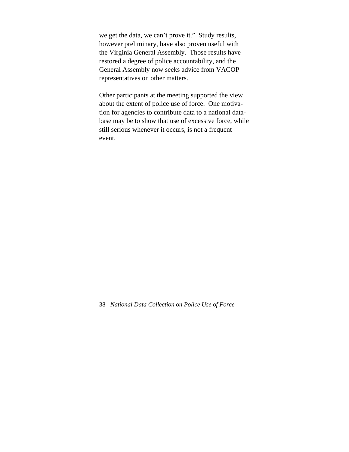we get the data, we can't prove it." Study results, however preliminary, have also proven useful with the Virginia General Assembly. Those results have restored a degree of police accountability, and the General Assembly now seeks advice from VACOP representatives on other matters.

Other participants at the meeting supported the view about the extent of police use of force. One motivation for agencies to contribute data to a national database may be to show that use of excessive force, while still serious whenever it occurs, is not a frequent event.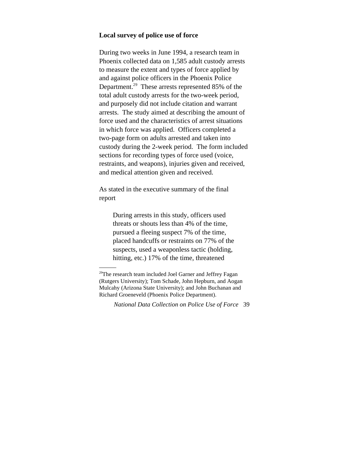#### **Local survey of police use of force**

During two weeks in June 1994, a research team in Phoenix collected data on 1,585 adult custody arrests to measure the extent and types of force applied by and against police officers in the Phoenix Police Department.<sup>29</sup> These arrests represented 85% of the total adult custody arrests for the two-week period, and purposely did not include citation and warrant arrests. The study aimed at describing the amount of force used and the characteristics of arrest situations in which force was applied. Officers completed a two-page form on adults arrested and taken into custody during the 2-week period. The form included sections for recording types of force used (voice, restraints, and weapons), injuries given and received, and medical attention given and received.

As stated in the executive summary of the final report

> During arrests in this study, officers used threats or shouts less than 4% of the time, pursued a fleeing suspect 7% of the time, placed handcuffs or restraints on 77% of the suspects, used a weaponless tactic (holding, hitting, etc.) 17% of the time, threatened

<sup>&</sup>lt;sup>29</sup>The research team included Joel Garner and Jeffrey Fagan (Rutgers University); Tom Schade, John Hepburn, and Aogan Mulcahy (Arizona State University); and John Buchanan and Richard Groeneveld (Phoenix Police Department).

*National Data Collection on Police Use of Force* 39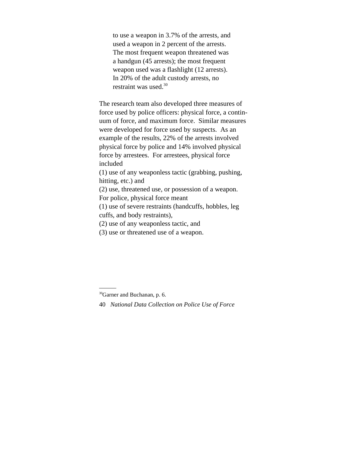to use a weapon in 3.7% of the arrests, and used a weapon in 2 percent of the arrests. The most frequent weapon threatened was a handgun (45 arrests); the most frequent weapon used was a flashlight (12 arrests). In 20% of the adult custody arrests, no restraint was used.<sup>30</sup>

The research team also developed three measures of force used by police officers: physical force, a continuum of force, and maximum force. Similar measures were developed for force used by suspects. As an example of the results, 22% of the arrests involved physical force by police and 14% involved physical force by arrestees. For arrestees, physical force included

(1) use of any weaponless tactic (grabbing, pushing, hitting, etc.) and

(2) use, threatened use, or possession of a weapon.

For police, physical force meant —

(1) use of severe restraints (handcuffs, hobbles, leg cuffs, and body restraints),

(2) use of any weaponless tactic, and

(3) use or threatened use of a weapon.

<sup>&</sup>lt;sup>30</sup>Garner and Buchanan, p. 6.

<sup>40</sup> *National Data Collection on Police Use of Force*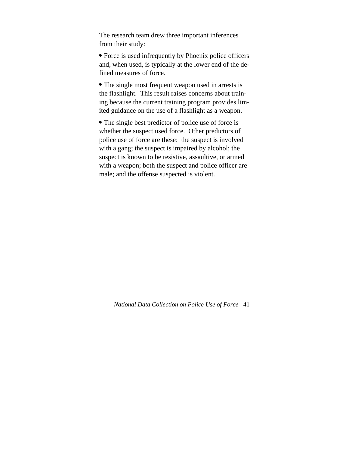The research team drew three important inferences from their study:

 Force is used infrequently by Phoenix police officers and, when used, is typically at the lower end of the defined measures of force.

• The single most frequent weapon used in arrests is the flashlight. This result raises concerns about training because the current training program provides limited guidance on the use of a flashlight as a weapon.

• The single best predictor of police use of force is whether the suspect used force. Other predictors of police use of force are these: the suspect is involved with a gang; the suspect is impaired by alcohol; the suspect is known to be resistive, assaultive, or armed with a weapon; both the suspect and police officer are male; and the offense suspected is violent.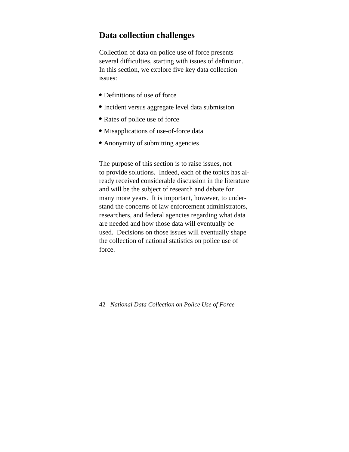# **Data collection challenges**

Collection of data on police use of force presents several difficulties, starting with issues of definition. In this section, we explore five key data collection issues:

- Definitions of use of force
- Incident versus aggregate level data submission
- Rates of police use of force
- Misapplications of use-of-force data
- Anonymity of submitting agencies

The purpose of this section is to raise issues, not to provide solutions. Indeed, each of the topics has already received considerable discussion in the literature and will be the subject of research and debate for many more years. It is important, however, to understand the concerns of law enforcement administrators, researchers, and federal agencies regarding what data are needed and how those data will eventually be used. Decisions on those issues will eventually shape the collection of national statistics on police use of force.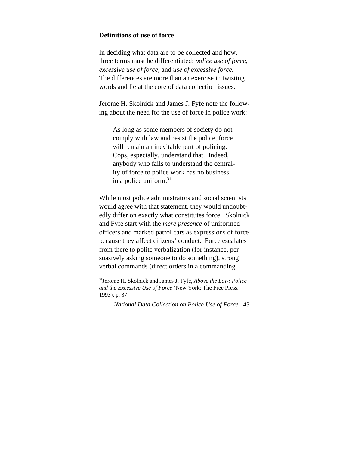#### **Definitions of use of force**

In deciding what data are to be collected and how, three terms must be differentiated: *police use of force, excessive use of force,* and *use of excessive force.* The differences are more than an exercise in twisting words and lie at the core of data collection issues.

Jerome H. Skolnick and James J. Fyfe note the following about the need for the use of force in police work:

As long as some members of society do not comply with law and resist the police, force will remain an inevitable part of policing. Cops, especially, understand that. Indeed, anybody who fails to understand the centrality of force to police work has no business in a police uniform.<sup>31</sup>

While most police administrators and social scientists would agree with that statement, they would undoubtedly differ on exactly what constitutes force. Skolnick and Fyfe start with the *mere presence* of uniformed officers and marked patrol cars as expressions of force because they affect citizens' conduct. Force escalates from there to polite verbalization (for instance, persuasively asking someone to do something), strong verbal commands (direct orders in a commanding

<sup>31</sup>Jerome H. Skolnick and James J. Fyfe, *Above the Law: Police and the Excessive Use of Force* (New York: The Free Press, 1993), p. 37.

*National Data Collection on Police Use of Force* 43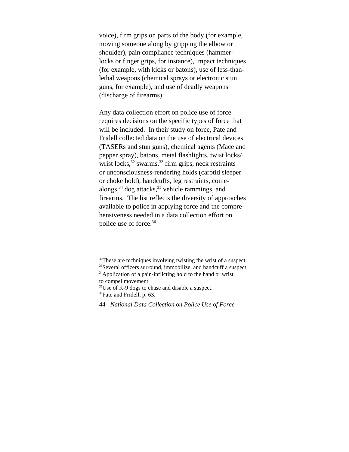voice), firm grips on parts of the body (for example, moving someone along by gripping the elbow or shoulder), pain compliance techniques (hammerlocks or finger grips, for instance), impact techniques (for example, with kicks or batons), use of less-thanlethal weapons (chemical sprays or electronic stun guns, for example), and use of deadly weapons (discharge of firearms).

Any data collection effort on police use of force requires decisions on the specific types of force that will be included. In their study on force, Pate and Fridell collected data on the use of electrical devices (TASERs and stun guns), chemical agents (Mace and pepper spray), batons, metal flashlights, twist locks/ wrist locks, $32$  swarms,  $33$  firm grips, neck restraints or unconsciousness-rendering holds (carotid sleeper or choke hold), handcuffs, leg restraints, comealongs, $34$  dog attacks, $35$  vehicle rammings, and firearms. The list reflects the diversity of approaches available to police in applying force and the comprehensiveness needed in a data collection effort on police use of force.<sup>36</sup>

<sup>&</sup>lt;sup>32</sup>These are techniques involving twisting the wrist of a suspect.

<sup>&</sup>lt;sup>33</sup>Several officers surround, immobilize, and handcuff a suspect. <sup>34</sup>Application of a pain-inflicting hold to the hand or wrist

to compel movement.

<sup>&</sup>lt;sup>35</sup>Use of K-9 dogs to chase and disable a suspect. <sup>36</sup>Pate and Fridell, p. 63.

<sup>44</sup> *National Data Collection on Police Use of Force*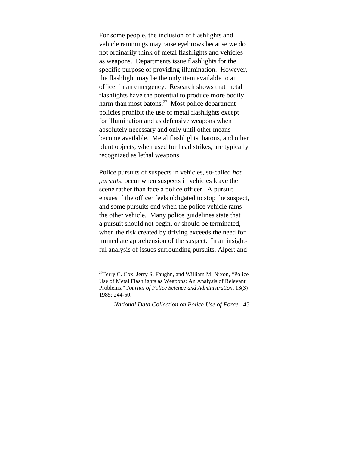For some people, the inclusion of flashlights and vehicle rammings may raise eyebrows because we do not ordinarily think of metal flashlights and vehicles as weapons. Departments issue flashlights for the specific purpose of providing illumination. However, the flashlight may be the only item available to an officer in an emergency. Research shows that metal flashlights have the potential to produce more bodily harm than most batons.<sup>37</sup> Most police department policies prohibit the use of metal flashlights except for illumination and as defensive weapons when absolutely necessary and only until other means become available. Metal flashlights, batons, and other blunt objects, when used for head strikes, are typically recognized as lethal weapons.

Police pursuits of suspects in vehicles, so-called *hot pursuits*, occur when suspects in vehicles leave the scene rather than face a police officer. A pursuit ensues if the officer feels obligated to stop the suspect, and some pursuits end when the police vehicle rams the other vehicle. Many police guidelines state that a pursuit should not begin, or should be terminated, when the risk created by driving exceeds the need for immediate apprehension of the suspect. In an insightful analysis of issues surrounding pursuits, Alpert and

<sup>&</sup>lt;sup>37</sup>Terry C. Cox, Jerry S. Faughn, and William M. Nixon, "Police" Use of Metal Flashlights as Weapons: An Analysis of Relevant Problems," *Journal of Police Science and Administration,* 13(3) 1985: 244-50.

*National Data Collection on Police Use of Force* 45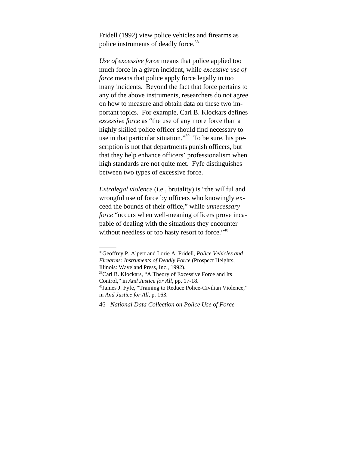Fridell (1992) view police vehicles and firearms as police instruments of deadly force.<sup>38</sup>

*Use of excessive force* means that police applied too much force in a given incident, while *excessive use of force* means that police apply force legally in too many incidents. Beyond the fact that force pertains to any of the above instruments, researchers do not agree on how to measure and obtain data on these two important topics. For example, Carl B. Klockars defines *excessive force* as "the use of any more force than a highly skilled police officer should find necessary to use in that particular situation."<sup>39</sup> To be sure, his prescription is not that departments punish officers, but that they help enhance officers' professionalism when high standards are not quite met. Fyfe distinguishes between two types of excessive force.

*Extralegal violence* (i.e., brutality) is "the willful and wrongful use of force by officers who knowingly exceed the bounds of their office," while *unnecessary force* "occurs when well-meaning officers prove incapable of dealing with the situations they encounter without needless or too hasty resort to force."<sup>40</sup>

Control," in *And Justice for All,* pp. 17-18.

<sup>38</sup>Geoffrey P. Alpert and Lorie A. Fridell, *Police Vehicles and Firearms: Instruments of Deadly Force* (Prospect Heights, Illinois: Waveland Press, Inc., 1992). 39Carl B. Klockars, "A Theory of Excessive Force and Its

<sup>40</sup>James J. Fyfe, "Training to Reduce Police-Civilian Violence," in *And Justice for All*, p. 163.

<sup>46</sup> *National Data Collection on Police Use of Force*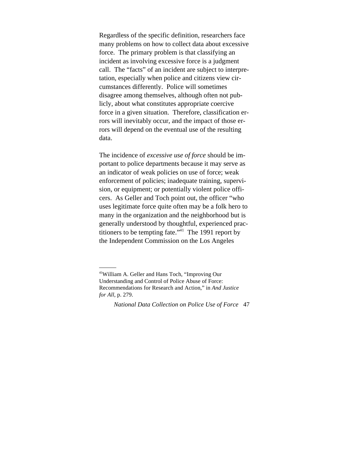Regardless of the specific definition, researchers face many problems on how to collect data about excessive force. The primary problem is that classifying an incident as involving excessive force is a judgment call. The "facts" of an incident are subject to interpretation, especially when police and citizens view circumstances differently. Police will sometimes disagree among themselves, although often not publicly, about what constitutes appropriate coercive force in a given situation. Therefore, classification errors will inevitably occur, and the impact of those errors will depend on the eventual use of the resulting data.

The incidence of *excessive use of force* should be important to police departments because it may serve as an indicator of weak policies on use of force; weak enforcement of policies; inadequate training, supervision, or equipment; or potentially violent police officers. As Geller and Toch point out, the officer "who uses legitimate force quite often may be a folk hero to many in the organization and the neighborhood but is generally understood by thoughtful, experienced practitioners to be tempting fate."<sup>41</sup> The 1991 report by the Independent Commission on the Los Angeles

<sup>41</sup>William A. Geller and Hans Toch, "Improving Our Understanding and Control of Police Abuse of Force: Recommendations for Research and Action," in *And Justice for All*, p. 279.

*National Data Collection on Police Use of Force* 47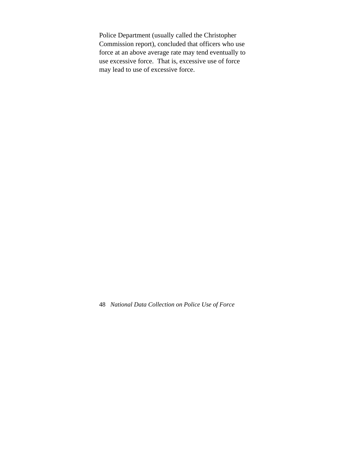Police Department (usually called the Christopher Commission report), concluded that officers who use force at an above average rate may tend eventually to use excessive force. That is, excessive use of force may lead to use of excessive force.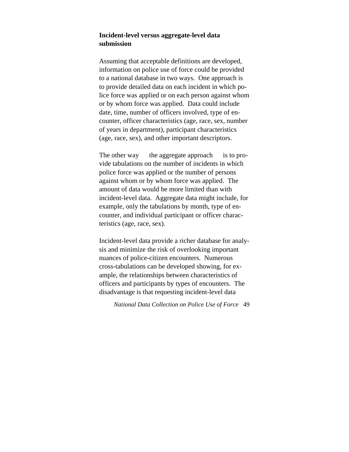### **Incident-level versus aggregate-level data submission**

Assuming that acceptable definitions are developed, information on police use of force could be provided to a national database in two ways. One approach is to provide detailed data on each incident in which police force was applied or on each person against whom or by whom force was applied. Data could include date, time, number of officers involved, type of encounter, officer characteristics (age, race, sex, number of years in department), participant characteristics (age, race, sex), and other important descriptors.

The other way — the aggregate approach — is to provide tabulations on the number of incidents in which police force was applied or the number of persons against whom or by whom force was applied. The amount of data would be more limited than with incident-level data. Aggregate data might include, for example, only the tabulations by month, type of encounter, and individual participant or officer characteristics (age, race, sex).

Incident-level data provide a richer database for analysis and minimize the risk of overlooking important nuances of police-citizen encounters. Numerous cross-tabulations can be developed showing, for example, the relationships between characteristics of officers and participants by types of encounters. The disadvantage is that requesting incident-level data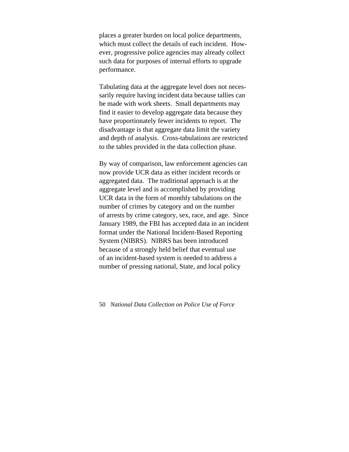places a greater burden on local police departments, which must collect the details of each incident. However, progressive police agencies may already collect such data for purposes of internal efforts to upgrade performance.

Tabulating data at the aggregate level does not necessarily require having incident data because tallies can be made with work sheets. Small departments may find it easier to develop aggregate data because they have proportionately fewer incidents to report. The disadvantage is that aggregate data limit the variety and depth of analysis. Cross-tabulations are restricted to the tables provided in the data collection phase.

By way of comparison, law enforcement agencies can now provide UCR data as either incident records or aggregated data. The traditional approach is at the aggregate level and is accomplished by providing UCR data in the form of monthly tabulations on the number of crimes by category and on the number of arrests by crime category, sex, race, and age. Since January 1989, the FBI has accepted data in an incident format under the National Incident-Based Reporting System (NIBRS). NIBRS has been introduced because of a strongly held belief that eventual use of an incident-based system is needed to address a number of pressing national, State, and local policy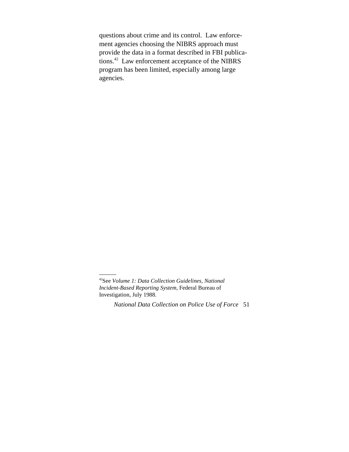questions about crime and its control. Law enforcement agencies choosing the NIBRS approach must provide the data in a format described in FBI publications.42 Law enforcement acceptance of the NIBRS program has been limited, especially among large agencies.

<sup>42</sup>See *Volume 1: Data Collection Guidelines, National Incident-Based Reporting System,* Federal Bureau of Investigation, July 1988.

*National Data Collection on Police Use of Force* 51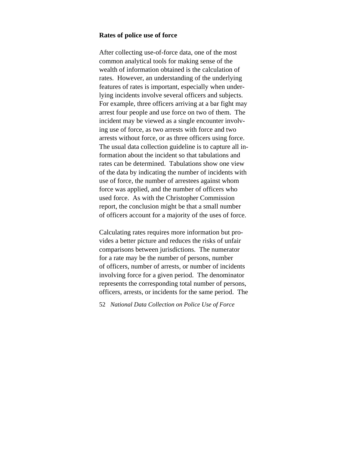#### **Rates of police use of force**

After collecting use-of-force data, one of the most common analytical tools for making sense of the wealth of information obtained is the calculation of rates. However, an understanding of the underlying features of rates is important, especially when underlying incidents involve several officers and subjects. For example, three officers arriving at a bar fight may arrest four people and use force on two of them. The incident may be viewed as a single encounter involving use of force, as two arrests with force and two arrests without force, or as three officers using force. The usual data collection guideline is to capture all information about the incident so that tabulations and rates can be determined. Tabulations show one view of the data by indicating the number of incidents with use of force, the number of arrestees against whom force was applied, and the number of officers who used force. As with the Christopher Commission report, the conclusion might be that a small number of officers account for a majority of the uses of force.

Calculating rates requires more information but provides a better picture and reduces the risks of unfair comparisons between jurisdictions. The numerator for a rate may be the number of persons, number of officers, number of arrests, or number of incidents involving force for a given period. The denominator represents the corresponding total number of persons, officers, arrests, or incidents for the same period. The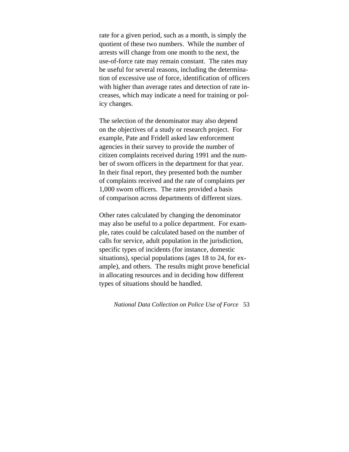rate for a given period, such as a month, is simply the quotient of these two numbers. While the number of arrests will change from one month to the next, the use-of-force rate may remain constant. The rates may be useful for several reasons, including the determination of excessive use of force, identification of officers with higher than average rates and detection of rate increases, which may indicate a need for training or policy changes.

The selection of the denominator may also depend on the objectives of a study or research project. For example, Pate and Fridell asked law enforcement agencies in their survey to provide the number of citizen complaints received during 1991 and the number of sworn officers in the department for that year. In their final report, they presented both the number of complaints received and the rate of complaints per 1,000 sworn officers. The rates provided a basis of comparison across departments of different sizes.

Other rates calculated by changing the denominator may also be useful to a police department. For example, rates could be calculated based on the number of calls for service, adult population in the jurisdiction, specific types of incidents (for instance, domestic situations), special populations (ages 18 to 24, for example), and others. The results might prove beneficial in allocating resources and in deciding how different types of situations should be handled.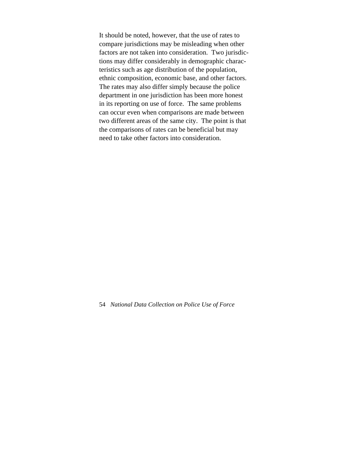It should be noted, however, that the use of rates to compare jurisdictions may be misleading when other factors are not taken into consideration. Two jurisdictions may differ considerably in demographic characteristics such as age distribution of the population, ethnic composition, economic base, and other factors. The rates may also differ simply because the police department in one jurisdiction has been more honest in its reporting on use of force. The same problems can occur even when comparisons are made between two different areas of the same city. The point is that the comparisons of rates can be beneficial but may need to take other factors into consideration.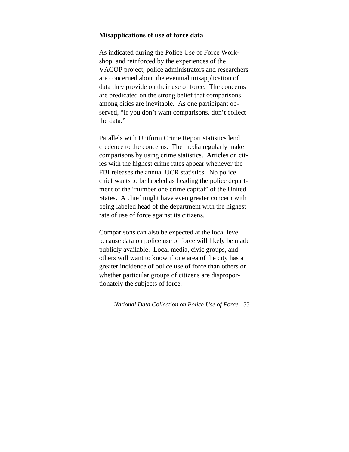#### **Misapplications of use of force data**

As indicated during the Police Use of Force Workshop, and reinforced by the experiences of the VACOP project, police administrators and researchers are concerned about the eventual misapplication of data they provide on their use of force. The concerns are predicated on the strong belief that comparisons among cities are inevitable. As one participant observed, "If you don't want comparisons, don't collect the data."

Parallels with Uniform Crime Report statistics lend credence to the concerns. The media regularly make comparisons by using crime statistics. Articles on cities with the highest crime rates appear whenever the FBI releases the annual UCR statistics. No police chief wants to be labeled as heading the police department of the "number one crime capital" of the United States. A chief might have even greater concern with being labeled head of the department with the highest rate of use of force against its citizens.

Comparisons can also be expected at the local level because data on police use of force will likely be made publicly available. Local media, civic groups, and others will want to know if one area of the city has a greater incidence of police use of force than others or whether particular groups of citizens are disproportionately the subjects of force.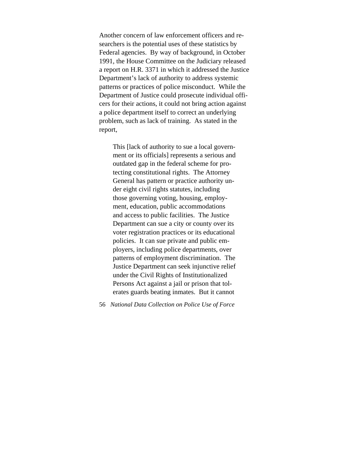Another concern of law enforcement officers and researchers is the potential uses of these statistics by Federal agencies. By way of background, in October 1991, the House Committee on the Judiciary released a report on H.R. 3371 in which it addressed the Justice Department's lack of authority to address systemic patterns or practices of police misconduct. While the Department of Justice could prosecute individual officers for their actions, it could not bring action against a police department itself to correct an underlying problem, such as lack of training. As stated in the report,

This [lack of authority to sue a local government or its officials] represents a serious and outdated gap in the federal scheme for protecting constitutional rights. The Attorney General has pattern or practice authority under eight civil rights statutes, including those governing voting, housing, employment, education, public accommodations and access to public facilities. The Justice Department can sue a city or county over its voter registration practices or its educational policies. It can sue private and public employers, including police departments, over patterns of employment discrimination. The Justice Department can seek injunctive relief under the Civil Rights of Institutionalized Persons Act against a jail or prison that tolerates guards beating inmates. But it cannot

<sup>56</sup> *National Data Collection on Police Use of Force*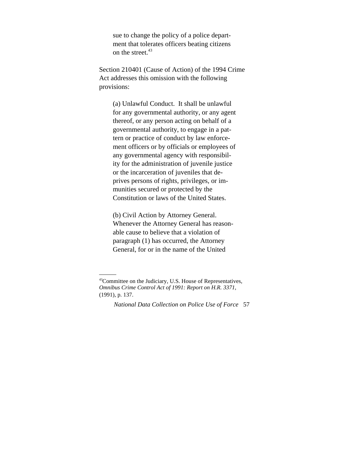sue to change the policy of a police department that tolerates officers beating citizens on the street. $43$ 

Section 210401 (Cause of Action) of the 1994 Crime Act addresses this omission with the following provisions:

(a) Unlawful Conduct. It shall be unlawful for any governmental authority, or any agent thereof, or any person acting on behalf of a governmental authority, to engage in a pattern or practice of conduct by law enforcement officers or by officials or employees of any governmental agency with responsibility for the administration of juvenile justice or the incarceration of juveniles that deprives persons of rights, privileges, or immunities secured or protected by the Constitution or laws of the United States.

(b) Civil Action by Attorney General. Whenever the Attorney General has reasonable cause to believe that a violation of paragraph (1) has occurred, the Attorney General, for or in the name of the United

<sup>43</sup>Committee on the Judiciary, U.S. House of Representatives, *Omnibus Crime Control Act of 1991: Report on H.R. 3371,* (1991), p. 137.

*National Data Collection on Police Use of Force* 57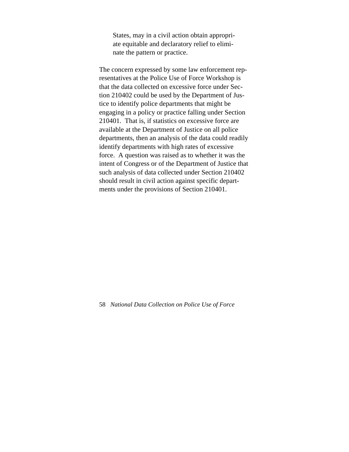States, may in a civil action obtain appropriate equitable and declaratory relief to eliminate the pattern or practice.

The concern expressed by some law enforcement representatives at the Police Use of Force Workshop is that the data collected on excessive force under Section 210402 could be used by the Department of Justice to identify police departments that might be engaging in a policy or practice falling under Section 210401. That is, if statistics on excessive force are available at the Department of Justice on all police departments, then an analysis of the data could readily identify departments with high rates of excessive force. A question was raised as to whether it was the intent of Congress or of the Department of Justice that such analysis of data collected under Section 210402 should result in civil action against specific departments under the provisions of Section 210401.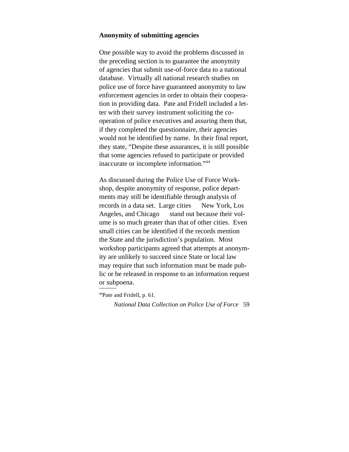#### **Anonymity of submitting agencies**

One possible way to avoid the problems discussed in the preceding section is to guarantee the anonymity of agencies that submit use-of-force data to a national database. Virtually all national research studies on police use of force have guaranteed anonymity to law enforcement agencies in order to obtain their cooperation in providing data. Pate and Fridell included a letter with their survey instrument soliciting the cooperation of police executives and assuring them that, if they completed the questionnaire, their agencies would not be identified by name. In their final report, they state, "Despite these assurances, it is still possible that some agencies refused to participate or provided inaccurate or incomplete information."44

As discussed during the Police Use of Force Workshop, despite anonymity of response, police departments may still be identifiable through analysis of records in a data set. Large cities — New York, Los Angeles, and Chicago — stand out because their volume is so much greater than that of other cities. Even small cities can be identified if the records mention the State and the jurisdiction's population. Most workshop participants agreed that attempts at anonymity are unlikely to succeed since State or local law may require that such information must be made public or be released in response to an information request or subpoena.

44Pate and Fridell, p. 61.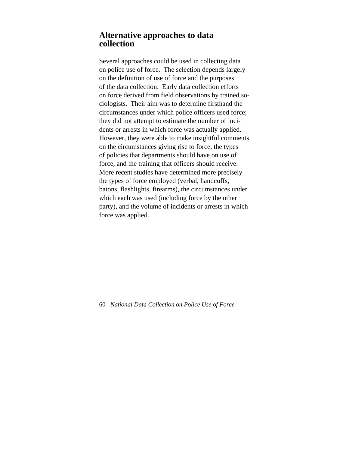## **Alternative approaches to data collection**

Several approaches could be used in collecting data on police use of force. The selection depends largely on the definition of use of force and the purposes of the data collection. Early data collection efforts on force derived from field observations by trained sociologists. Their aim was to determine firsthand the circumstances under which police officers used force; they did not attempt to estimate the number of incidents or arrests in which force was actually applied. However, they were able to make insightful comments on the circumstances giving rise to force, the types of policies that departments should have on use of force, and the training that officers should receive. More recent studies have determined more precisely the types of force employed (verbal, handcuffs, batons, flashlights, firearms), the circumstances under which each was used (including force by the other party), and the volume of incidents or arrests in which force was applied.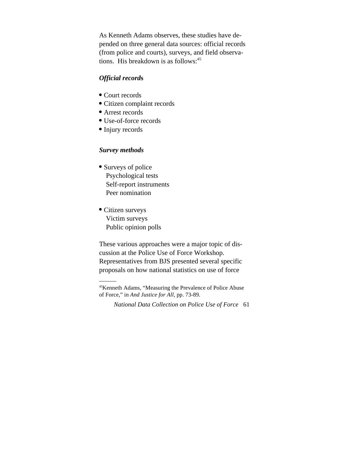As Kenneth Adams observes, these studies have depended on three general data sources: official records (from police and courts), surveys, and field observations. His breakdown is as follows:<sup>45</sup>

### *Official record***s**

- Court records
- Citizen complaint records
- Arrest records
- Use-of-force records
- Injury records

### *Survey methods*

- Surveys of police
- Psychological tests
- Self-report instruments
- Peer nomination
- Citizen surveys
- Victim surveys
- Public opinion polls

These various approaches were a major topic of discussion at the Police Use of Force Workshop. Representatives from BJS presented several specific proposals on how national statistics on use of force

<sup>45</sup>Kenneth Adams, "Measuring the Prevalence of Police Abuse of Force," in *And Justice for All,* pp. 73-89.

*National Data Collection on Police Use of Force* 61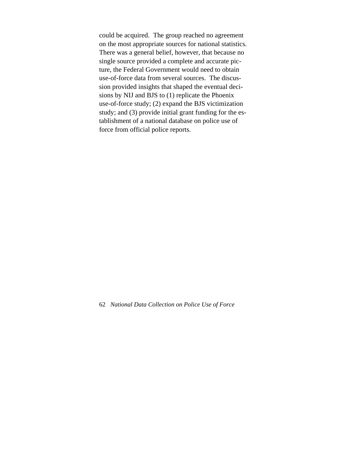could be acquired. The group reached no agreement on the most appropriate sources for national statistics. There was a general belief, however, that because no single source provided a complete and accurate picture, the Federal Government would need to obtain use-of-force data from several sources. The discussion provided insights that shaped the eventual decisions by NIJ and BJS to (1) replicate the Phoenix use-of-force study; (2) expand the BJS victimization study; and (3) provide initial grant funding for the establishment of a national database on police use of force from official police reports.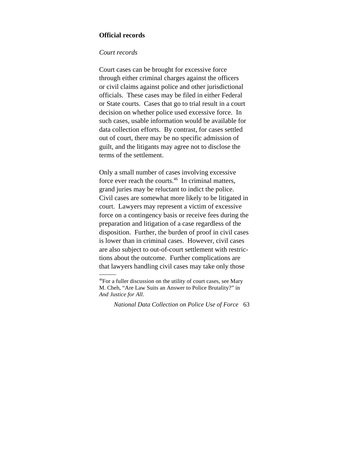#### **Official records**

#### *Court records*

Court cases can be brought for excessive force through either criminal charges against the officers or civil claims against police and other jurisdictional officials. These cases may be filed in either Federal or State courts. Cases that go to trial result in a court decision on whether police used excessive force. In such cases, usable information would be available for data collection efforts. By contrast, for cases settled out of court, there may be no specific admission of guilt, and the litigants may agree not to disclose the terms of the settlement.

Only a small number of cases involving excessive force ever reach the courts.<sup>46</sup> In criminal matters, grand juries may be reluctant to indict the police. Civil cases are somewhat more likely to be litigated in court. Lawyers may represent a victim of excessive force on a contingency basis or receive fees during the preparation and litigation of a case regardless of the disposition. Further, the burden of proof in civil cases is lower than in criminal cases. However, civil cases are also subject to out-of-court settlement with restrictions about the outcome. Further complications are that lawyers handling civil cases may take only those

<sup>46</sup>For a fuller discussion on the utility of court cases, see Mary M. Cheh, "Are Law Suits an Answer to Police Brutality?" in *And Justice for All.*

*National Data Collection on Police Use of Force* 63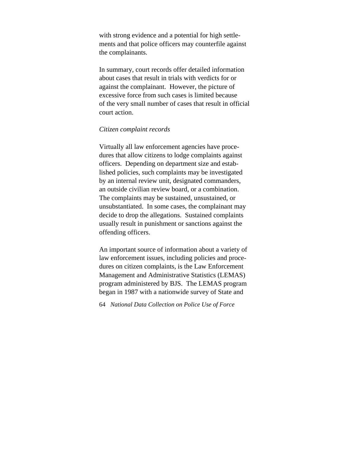with strong evidence and a potential for high settlements and that police officers may counterfile against the complainants.

In summary, court records offer detailed information about cases that result in trials with verdicts for or against the complainant. However, the picture of excessive force from such cases is limited because of the very small number of cases that result in official court action.

#### *Citizen complaint records*

Virtually all law enforcement agencies have procedures that allow citizens to lodge complaints against officers. Depending on department size and established policies, such complaints may be investigated by an internal review unit, designated commanders, an outside civilian review board, or a combination. The complaints may be sustained, unsustained, or unsubstantiated. In some cases, the complainant may decide to drop the allegations. Sustained complaints usually result in punishment or sanctions against the offending officers.

An important source of information about a variety of law enforcement issues, including policies and procedures on citizen complaints, is the Law Enforcement Management and Administrative Statistics (LEMAS) program administered by BJS. The LEMAS program began in 1987 with a nationwide survey of State and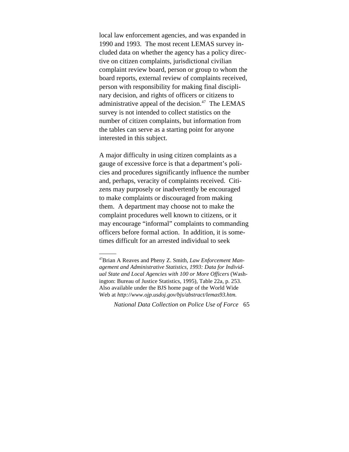local law enforcement agencies, and was expanded in 1990 and 1993. The most recent LEMAS survey included data on whether the agency has a policy directive on citizen complaints, jurisdictional civilian complaint review board, person or group to whom the board reports, external review of complaints received, person with responsibility for making final disciplinary decision, and rights of officers or citizens to administrative appeal of the decision. $47$  The LEMAS survey is not intended to collect statistics on the number of citizen complaints, but information from the tables can serve as a starting point for anyone interested in this subject.

A major difficulty in using citizen complaints as a gauge of excessive force is that a department's policies and procedures significantly influence the number and, perhaps, veracity of complaints received. Citizens may purposely or inadvertently be encouraged to make complaints or discouraged from making them. A department may choose not to make the complaint procedures well known to citizens, or it may encourage "informal" complaints to commanding officers before formal action. In addition, it is sometimes difficult for an arrested individual to seek

<sup>47</sup>Brian A Reaves and Pheny Z. Smith, *Law Enforcement Management and Administrative Statistics, 1993: Data for Individual State and Local Agencies with 100 or More Officers* (Washington: Bureau of Justice Statistics, 1995), Table 22a, p. 253. Also available under the BJS home page of the World Wide Web at *http://www.ojp.usdoj.gov/bjs/abstract/lemas93.htm.*

*National Data Collection on Police Use of Force* 65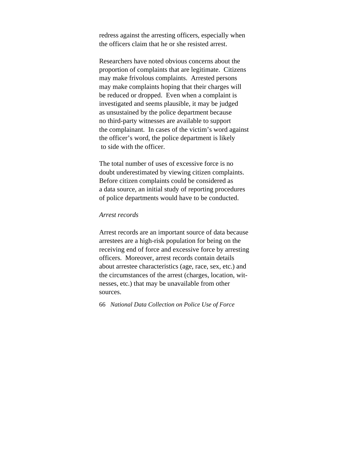redress against the arresting officers, especially when the officers claim that he or she resisted arrest.

Researchers have noted obvious concerns about the proportion of complaints that are legitimate. Citizens may make frivolous complaints. Arrested persons may make complaints hoping that their charges will be reduced or dropped. Even when a complaint is investigated and seems plausible, it may be judged as unsustained by the police department because no third-party witnesses are available to support the complainant. In cases of the victim's word against the officer's word, the police department is likely to side with the officer.

The total number of uses of excessive force is no doubt underestimated by viewing citizen complaints. Before citizen complaints could be considered as a data source, an initial study of reporting procedures of police departments would have to be conducted.

#### *Arrest records*

Arrest records are an important source of data because arrestees are a high-risk population for being on the receiving end of force and excessive force by arresting officers. Moreover, arrest records contain details about arrestee characteristics (age, race, sex, etc.) and the circumstances of the arrest (charges, location, witnesses, etc.) that may be unavailable from other sources.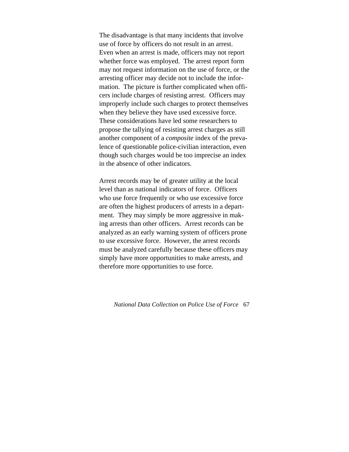The disadvantage is that many incidents that involve use of force by officers do not result in an arrest. Even when an arrest is made, officers may not report whether force was employed. The arrest report form may not request information on the use of force, or the arresting officer may decide not to include the information. The picture is further complicated when officers include charges of resisting arrest. Officers may improperly include such charges to protect themselves when they believe they have used excessive force. These considerations have led some researchers to propose the tallying of resisting arrest charges as still another component of a *composite* index of the prevalence of questionable police-civilian interaction, even though such charges would be too imprecise an index in the absence of other indicators.

Arrest records may be of greater utility at the local level than as national indicators of force. Officers who use force frequently or who use excessive force are often the highest producers of arrests in a department. They may simply be more aggressive in making arrests than other officers. Arrest records can be analyzed as an early warning system of officers prone to use excessive force. However, the arrest records must be analyzed carefully because these officers may simply have more opportunities to make arrests, and therefore more opportunities to use force.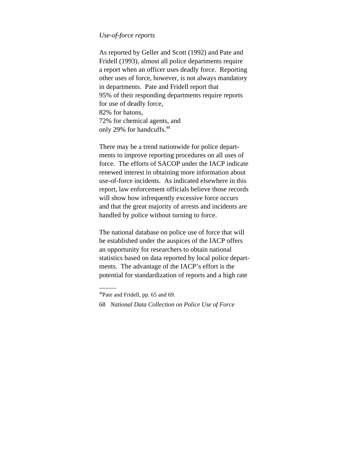#### *Use-of-force reports*

As reported by Geller and Scott (1992) and Pate and Fridell (1993), almost all police departments require a report when an officer uses deadly force. Reporting other uses of force, however, is not always mandatory in departments. Pate and Fridell report that 95% of their responding departments require reports for use of deadly force, 82% for batons, 72% for chemical agents, and only 29% for handcuffs.48

There may be a trend nationwide for police departments to improve reporting procedures on all uses of force. The efforts of SACOP under the IACP indicate renewed interest in obtaining more information about use-of-force incidents. As indicated elsewhere in this report, law enforcement officials believe those records will show how infrequently excessive force occurs and that the great majority of arrests and incidents are handled by police without turning to force.

The national database on police use of force that will be established under the auspices of the IACP offers an opportunity for researchers to obtain national statistics based on data reported by local police departments. The advantage of the IACP's effort is the potential for standardization of reports and a high rate

<sup>48</sup>Pate and Fridell, pp. 65 and 69.

<sup>68</sup> *National Data Collection on Police Use of Force*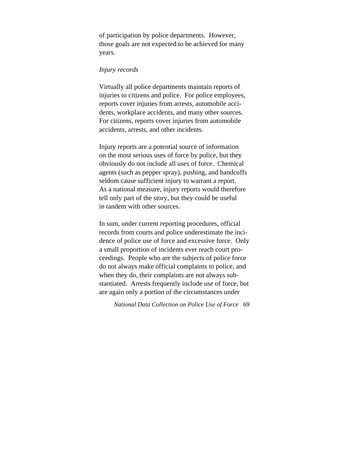of participation by police departments. However, those goals are not expected to be achieved for many years.

#### *Injury records*

Virtually all police departments maintain reports of injuries to citizens and police. For police employees, reports cover injuries from arrests, automobile accidents, workplace accidents, and many other sources. For citizens, reports cover injuries from automobile accidents, arrests, and other incidents.

Injury reports are a potential source of information on the most serious uses of force by police, but they obviously do not include all uses of force. Chemical agents (such as pepper spray), pushing, and handcuffs seldom cause sufficient injury to warrant a report. As a national measure, injury reports would therefore tell only part of the story, but they could be useful in tandem with other sources.

In sum, under current reporting procedures, official records from courts and police underestimate the incidence of police use of force and excessive force. Only a small proportion of incidents ever reach court proceedings. People who are the subjects of police force do not always make official complaints to police, and when they do, their complaints are not always substantiated. Arrests frequently include use of force, but are again only a portion of the circumstances under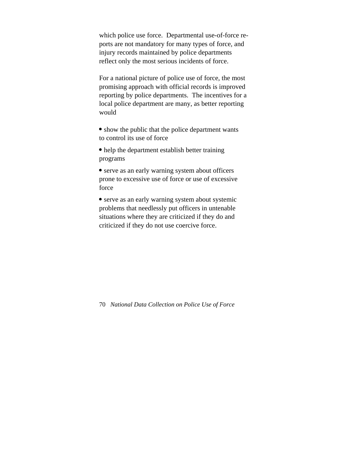which police use force. Departmental use-of-force reports are not mandatory for many types of force, and injury records maintained by police departments reflect only the most serious incidents of force.

For a national picture of police use of force, the most promising approach with official records is improved reporting by police departments. The incentives for a local police department are many, as better reporting would

• show the public that the police department wants to control its use of force

• help the department establish better training programs

• serve as an early warning system about officers prone to excessive use of force or use of excessive force

• serve as an early warning system about systemic problems that needlessly put officers in untenable situations where they are criticized if they do and criticized if they do not use coercive force.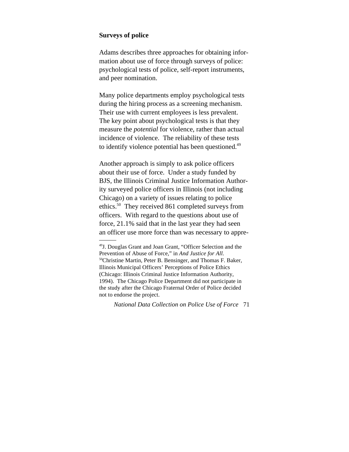#### **Surveys of police**

Adams describes three approaches for obtaining information about use of force through surveys of police: psychological tests of police, self-report instruments, and peer nomination.

Many police departments employ psychological tests during the hiring process as a screening mechanism. Their use with current employees is less prevalent. The key point about psychological tests is that they measure the *potential* for violence, rather than actual incidence of violence. The reliability of these tests to identify violence potential has been questioned.<sup>49</sup>

Another approach is simply to ask police officers about their use of force. Under a study funded by BJS, the Illinois Criminal Justice Information Authority surveyed police officers in Illinois (not including Chicago) on a variety of issues relating to police ethics.50 They received 861 completed surveys from officers. With regard to the questions about use of force, 21.1% said that in the last year they had seen an officer use more force than was necessary to appre-

<sup>49</sup>J. Douglas Grant and Joan Grant, "Officer Selection and the Prevention of Abuse of Force," in *And Justice for All*. 50Christine Martin, Peter B. Bensinger, and Thomas F. Baker, Illinois Municipal Officers' Perceptions of Police Ethics (Chicago: Illinois Criminal Justice Information Authority, 1994). The Chicago Police Department did not participate in the study after the Chicago Fraternal Order of Police decided not to endorse the project.

*National Data Collection on Police Use of Force* 71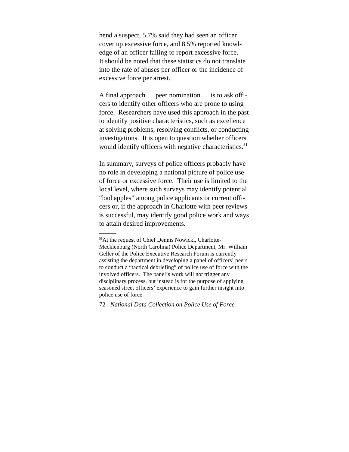hend a suspect, 5.7% said they had seen an officer cover up excessive force, and 8.5% reported knowledge of an officer failing to report excessive force. It should be noted that these statistics do not translate into the rate of abuses per officer or the incidence of excessive force per arrest.

A final approach — peer nomination — is to ask officers to identify other officers who are prone to using force. Researchers have used this approach in the past to identify positive characteristics, such as excellence at solving problems, resolving conflicts, or conducting investigations. It is open to question whether officers would identify officers with negative characteristics.<sup>51</sup>

In summary, surveys of police officers probably have no role in developing a national picture of police use of force or excessive force. Their use is limited to the local level, where such surveys may identify potential "bad apples" among police applicants or current officers or, if the approach in Charlotte with peer reviews is successful, may identify good police work and ways to attain desired improvements.

<sup>&</sup>lt;sup>51</sup>At the request of Chief Dennis Nowicki, Charlotte-Mecklenburg (North Carolina) Police Department, Mr. William Geller of the Police Executive Research Forum is currently assisting the department in developing a panel of officers' peers to conduct a "tactical debriefing" of police use of force with the involved officers. The panel's work will not trigger any disciplinary process, but instead is for the purpose of applying seasoned street officers' experience to gain further insight into police use of force.

<sup>72</sup> *National Data Collection on Police Use of Force*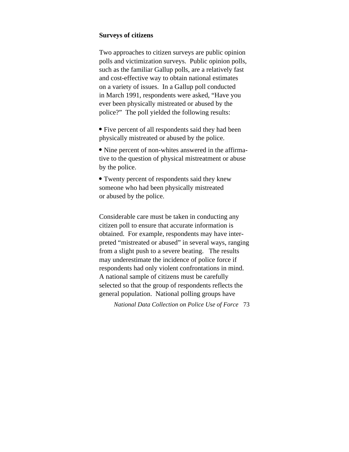#### **Surveys of citizens**

Two approaches to citizen surveys are public opinion polls and victimization surveys. Public opinion polls, such as the familiar Gallup polls, are a relatively fast and cost-effective way to obtain national estimates on a variety of issues. In a Gallup poll conducted in March 1991, respondents were asked, "Have you ever been physically mistreated or abused by the police?" The poll yielded the following results:

• Five percent of all respondents said they had been physically mistreated or abused by the police.

 Nine percent of non-whites answered in the affirmative to the question of physical mistreatment or abuse by the police.

 Twenty percent of respondents said they knew someone who had been physically mistreated or abused by the police.

Considerable care must be taken in conducting any citizen poll to ensure that accurate information is obtained. For example, respondents may have interpreted "mistreated or abused" in several ways, ranging from a slight push to a severe beating. The results may underestimate the incidence of police force if respondents had only violent confrontations in mind. A national sample of citizens must be carefully selected so that the group of respondents reflects the general population. National polling groups have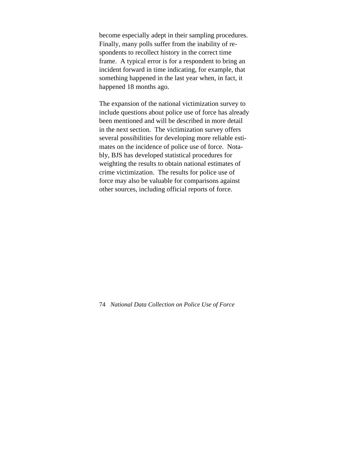become especially adept in their sampling procedures. Finally, many polls suffer from the inability of respondents to recollect history in the correct time frame. A typical error is for a respondent to bring an incident forward in time indicating, for example, that something happened in the last year when, in fact, it happened 18 months ago.

The expansion of the national victimization survey to include questions about police use of force has already been mentioned and will be described in more detail in the next section. The victimization survey offers several possibilities for developing more reliable estimates on the incidence of police use of force. Notably, BJS has developed statistical procedures for weighting the results to obtain national estimates of crime victimization. The results for police use of force may also be valuable for comparisons against other sources, including official reports of force.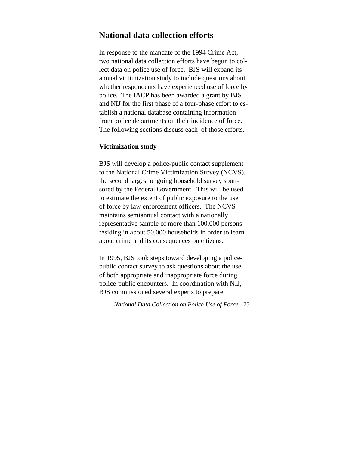### **National data collection efforts**

In response to the mandate of the 1994 Crime Act, two national data collection efforts have begun to collect data on police use of force. BJS will expand its annual victimization study to include questions about whether respondents have experienced use of force by police. The IACP has been awarded a grant by BJS and NIJ for the first phase of a four-phase effort to establish a national database containing information from police departments on their incidence of force. The following sections discuss each of those efforts.

#### **Victimization study**

BJS will develop a police-public contact supplement to the National Crime Victimization Survey (NCVS), the second largest ongoing household survey sponsored by the Federal Government. This will be used to estimate the extent of public exposure to the use of force by law enforcement officers. The NCVS maintains semiannual contact with a nationally representative sample of more than 100,000 persons residing in about 50,000 households in order to learn about crime and its consequences on citizens.

In 1995, BJS took steps toward developing a policepublic contact survey to ask questions about the use of both appropriate and inappropriate force during police-public encounters. In coordination with NIJ, BJS commissioned several experts to prepare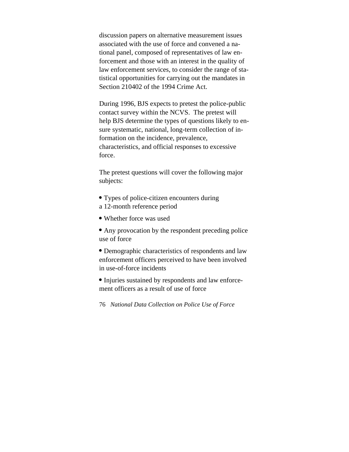discussion papers on alternative measurement issues associated with the use of force and convened a national panel, composed of representatives of law enforcement and those with an interest in the quality of law enforcement services, to consider the range of statistical opportunities for carrying out the mandates in Section 210402 of the 1994 Crime Act.

During 1996, BJS expects to pretest the police-public contact survey within the NCVS. The pretest will help BJS determine the types of questions likely to ensure systematic, national, long-term collection of information on the incidence, prevalence, characteristics, and official responses to excessive force.

The pretest questions will cover the following major subjects:

- Types of police-citizen encounters during a 12-month reference period
- Whether force was used

 Any provocation by the respondent preceding police use of force

 Demographic characteristics of respondents and law enforcement officers perceived to have been involved in use-of-force incidents

 Injuries sustained by respondents and law enforcement officers as a result of use of force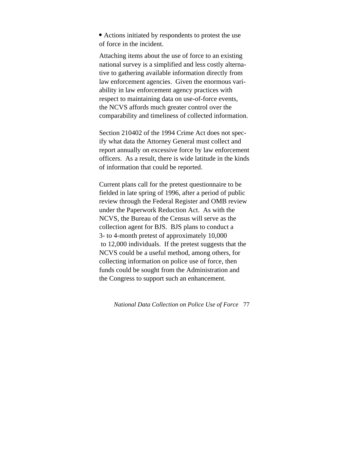Actions initiated by respondents to protest the use of force in the incident.

Attaching items about the use of force to an existing national survey is a simplified and less costly alternative to gathering available information directly from law enforcement agencies. Given the enormous variability in law enforcement agency practices with respect to maintaining data on use-of-force events, the NCVS affords much greater control over the comparability and timeliness of collected information.

Section 210402 of the 1994 Crime Act does not specify what data the Attorney General must collect and report annually on excessive force by law enforcement officers. As a result, there is wide latitude in the kinds of information that could be reported.

Current plans call for the pretest questionnaire to be fielded in late spring of 1996, after a period of public review through the Federal Register and OMB review under the Paperwork Reduction Act. As with the NCVS, the Bureau of the Census will serve as the collection agent for BJS. BJS plans to conduct a 3- to 4-month pretest of approximately 10,000 to 12,000 individuals. If the pretest suggests that the NCVS could be a useful method, among others, for collecting information on police use of force, then funds could be sought from the Administration and the Congress to support such an enhancement.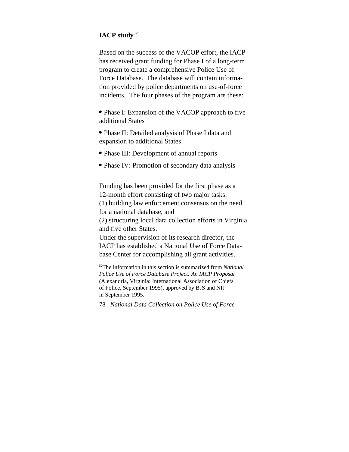### **IACP study**<sup>52</sup>

Based on the success of the VACOP effort, the IACP has received grant funding for Phase I of a long-term program to create a comprehensive Police Use of Force Database. The database will contain information provided by police departments on use-of-force incidents. The four phases of the program are these:

• Phase I: Expansion of the VACOP approach to five additional States

 Phase II: Detailed analysis of Phase I data and expansion to additional States

- Phase III: Development of annual reports
- Phase IV: Promotion of secondary data analysis

Funding has been provided for the first phase as a 12-month effort consisting of two major tasks:

(1) building law enforcement consensus on the need for a national database, and

(2) structuring local data collection efforts in Virginia and five other States.

Under the supervision of its research director, the IACP has established a National Use of Force Database Center for accomplishing all grant activities.

<sup>52</sup>The information in this section is summarized from *National Police Use of Force Database Project: An IACP Proposal* (Alexandria, Virginia: International Association of Chiefs of Police, September 1995), approved by BJS and NIJ in September 1995.

<sup>78</sup> *National Data Collection on Police Use of Force*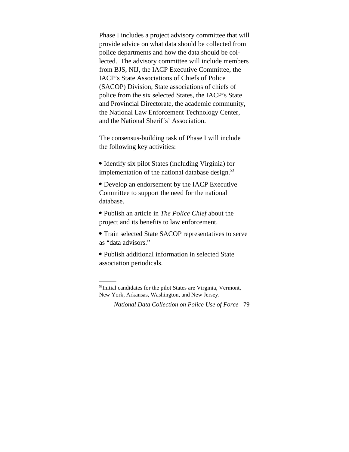Phase I includes a project advisory committee that will provide advice on what data should be collected from police departments and how the data should be collected. The advisory committee will include members from BJS, NIJ, the IACP Executive Committee, the IACP's State Associations of Chiefs of Police (SACOP) Division, State associations of chiefs of police from the six selected States, the IACP's State and Provincial Directorate, the academic community, the National Law Enforcement Technology Center, and the National Sheriffs' Association.

The consensus-building task of Phase I will include the following key activities:

 Identify six pilot States (including Virginia) for implementation of the national database design. $53$ 

 Develop an endorsement by the IACP Executive Committee to support the need for the national database.

 Publish an article in *The Police Chief* about the project and its benefits to law enforcement.

 Train selected State SACOP representatives to serve as "data advisors."

 Publish additional information in selected State association periodicals.

<sup>&</sup>lt;sup>53</sup>Initial candidates for the pilot States are Virginia, Vermont, New York, Arkansas, Washington, and New Jersey.

*National Data Collection on Police Use of Force* 79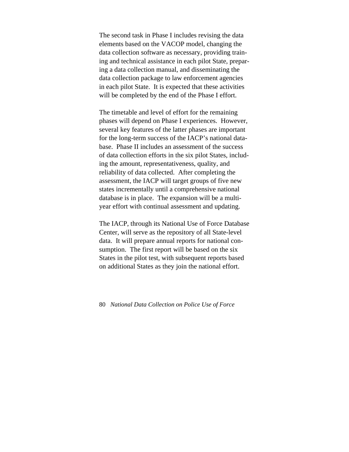The second task in Phase I includes revising the data elements based on the VACOP model, changing the data collection software as necessary, providing training and technical assistance in each pilot State, preparing a data collection manual, and disseminating the data collection package to law enforcement agencies in each pilot State. It is expected that these activities will be completed by the end of the Phase I effort.

The timetable and level of effort for the remaining phases will depend on Phase I experiences. However, several key features of the latter phases are important for the long-term success of the IACP's national database. Phase II includes an assessment of the success of data collection efforts in the six pilot States, including the amount, representativeness, quality, and reliability of data collected. After completing the assessment, the IACP will target groups of five new states incrementally until a comprehensive national database is in place. The expansion will be a multiyear effort with continual assessment and updating.

The IACP, through its National Use of Force Database Center, will serve as the repository of all State-level data. It will prepare annual reports for national consumption. The first report will be based on the six States in the pilot test, with subsequent reports based on additional States as they join the national effort.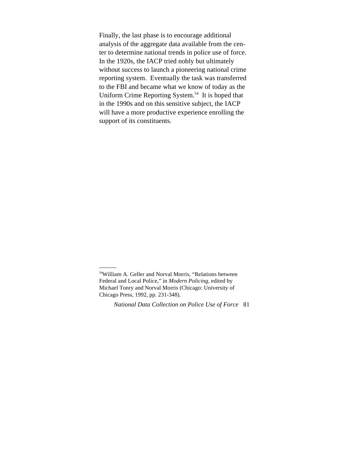Finally, the last phase is to encourage additional analysis of the aggregate data available from the center to determine national trends in police use of force. In the 1920s, the IACP tried nobly but ultimately without success to launch a pioneering national crime reporting system. Eventually the task was transferred to the FBI and became what we know of today as the Uniform Crime Reporting System.<sup>54</sup> It is hoped that in the 1990s and on this sensitive subject, the IACP will have a more productive experience enrolling the support of its constituents.

<sup>54</sup>William A. Geller and Norval Morris, "Relations between Federal and Local Police," in *Modern Policing,* edited by Michael Tonry and Norval Morris (Chicago: University of Chicago Press, 1992, pp. 231-348).

*National Data Collection on Police Use of Force* 81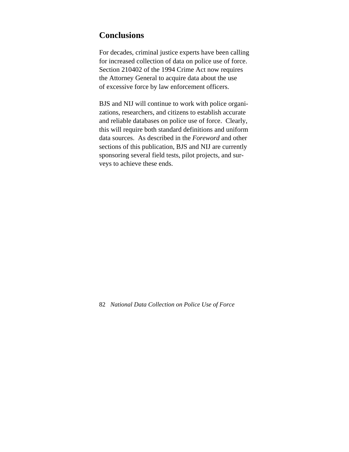### **Conclusions**

For decades, criminal justice experts have been calling for increased collection of data on police use of force. Section 210402 of the 1994 Crime Act now requires the Attorney General to acquire data about the use of excessive force by law enforcement officers.

BJS and NIJ will continue to work with police organizations, researchers, and citizens to establish accurate and reliable databases on police use of force. Clearly, this will require both standard definitions and uniform data sources. As described in the *Foreword* and other sections of this publication, BJS and NIJ are currently sponsoring several field tests, pilot projects, and surveys to achieve these ends.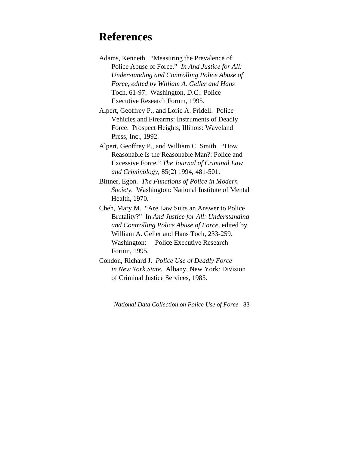## **References**

- Adams, Kenneth. "Measuring the Prevalence of Police Abuse of Force." *In And Justice for All: Understanding and Controlling Police Abuse of Force, edited by William A. Geller and Hans* Toch, 61-97. Washington, D.C.: Police Executive Research Forum, 1995.
- Alpert, Geoffrey P., and Lorie A. Fridell. Police Vehicles and Firearms: Instruments of Deadly Force. Prospect Heights, Illinois: Waveland Press, Inc., 1992.
- Alpert, Geoffrey P., and William C. Smith. "How Reasonable Is the Reasonable Man?: Police and Excessive Force," *The Journal of Criminal Law and Criminology,* 85(2) 1994, 481-501.
- Bittner, Egon. *The Functions of Police in Modern Society.* Washington: National Institute of Mental Health, 1970.
- Cheh, Mary M. "Are Law Suits an Answer to Police Brutality?" In *And Justice for All: Understanding and Controlling Police Abuse of Force,* edited by William A. Geller and Hans Toch, 233-259. Washington: Police Executive Research Forum, 1995.
- Condon, Richard J. *Police Use of Deadly Force in New York State.* Albany, New York: Division of Criminal Justice Services, 1985.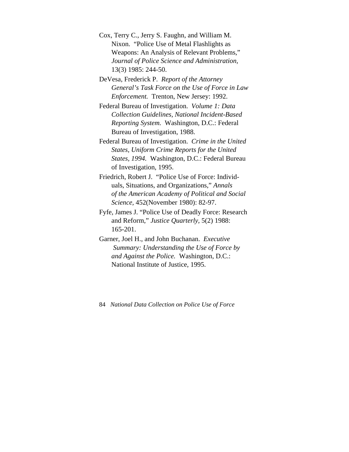Cox, Terry C., Jerry S. Faughn, and William M. Nixon. "Police Use of Metal Flashlights as Weapons: An Analysis of Relevant Problems," *Journal of Police Science and Administration,*  13(3) 1985: 244-50.

DeVesa, Frederick P. *Report of the Attorney General's Task Force on the Use of Force in Law Enforcement.* Trenton, New Jersey: 1992.

Federal Bureau of Investigation. *Volume 1: Data Collection Guidelines, National Incident-Based Reporting System.* Washington, D.C.: Federal Bureau of Investigation, 1988.

Federal Bureau of Investigation. *Crime in the United States, Uniform Crime Reports for the United States, 1994.* Washington, D.C.: Federal Bureau of Investigation, 1995.

Friedrich, Robert J. "Police Use of Force: Individuals, Situations, and Organizations," *Annals of the American Academy of Political and Social Science,* 452(November 1980): 82-97.

Fyfe, James J. "Police Use of Deadly Force: Research and Reform," *Justice Quarterly,* 5(2) 1988: 165-201.

Garner, Joel H., and John Buchanan. *Executive Summary: Understanding the Use of Force by and Against the Police.* Washington, D.C.: National Institute of Justice, 1995.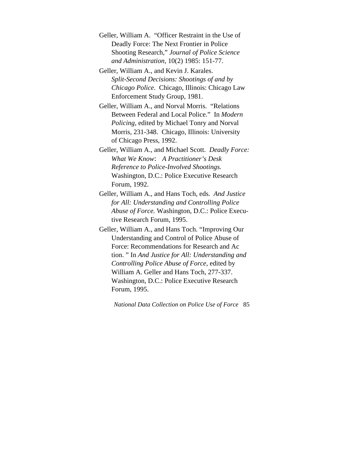Geller, William A. "Officer Restraint in the Use of Deadly Force: The Next Frontier in Police Shooting Research," *Journal of Police Science and Administration,* 10(2) 1985: 151-77.

Geller, William A., and Kevin J. Karales. *Split-Second Decisions: Shootings of and by Chicago Police.* Chicago, Illinois: Chicago Law Enforcement Study Group, 1981.

Geller, William A., and Norval Morris. "Relations Between Federal and Local Police." In *Modern Policing,* edited by Michael Tonry and Norval Morris, 231-348. Chicago, Illinois: University of Chicago Press, 1992.

Geller, William A., and Michael Scott. *Deadly Force: What We Know*: *A Practitioner's Desk Reference to Police-Involved Shootings.* Washington, D.C.: Police Executive Research Forum, 1992.

Geller, William A., and Hans Toch, eds. *And Justice for All: Understanding and Controlling Police Abuse of Force.* Washington, D.C.: Police Executive Research Forum, 1995.

Geller, William A., and Hans Toch. "Improving Our Understanding and Control of Police Abuse of Force: Recommendations for Research and Ac tion. " In *And Justice for All: Understanding and Controlling Police Abuse of Force,* edited by William A. Geller and Hans Toch, 277-337. Washington, D.C.: Police Executive Research Forum, 1995.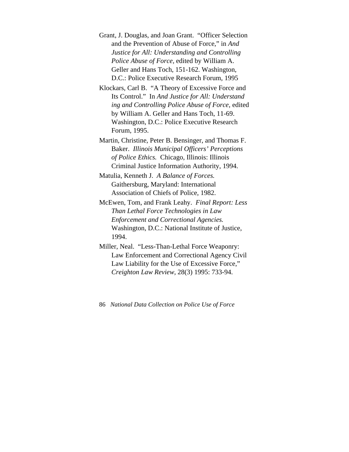Grant, J. Douglas, and Joan Grant. "Officer Selection and the Prevention of Abuse of Force," in *And Justice for All: Understanding and Controlling Police Abuse of Force,* edited by William A. Geller and Hans Toch, 151-162. Washington, D.C.: Police Executive Research Forum, 1995

Klockars, Carl B. "A Theory of Excessive Force and Its Control." In *And Justice for All: Understand ing and Controlling Police Abuse of Force,* edited by William A. Geller and Hans Toch, 11-69. Washington, D.C.: Police Executive Research Forum, 1995.

Martin, Christine, Peter B. Bensinger, and Thomas F. Baker. *Illinois Municipal Officers' Perceptions of Police Ethics.* Chicago, Illinois: Illinois Criminal Justice Information Authority, 1994.

Matulia, Kenneth J. *A Balance of Forces.* Gaithersburg, Maryland: International Association of Chiefs of Police, 1982.

McEwen, Tom, and Frank Leahy. *Final Report: Less Than Lethal Force Technologies in Law Enforcement and Correctional Agencies.* Washington, D.C.: National Institute of Justice, 1994.

Miller, Neal. "Less-Than-Lethal Force Weaponry: Law Enforcement and Correctional Agency Civil Law Liability for the Use of Excessive Force," *Creighton Law Review,* 28(3) 1995: 733-94.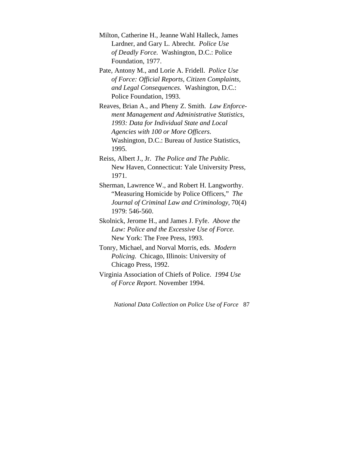- Milton, Catherine H., Jeanne Wahl Halleck, James Lardner, and Gary L. Abrecht. *Police Use of Deadly Force.* Washington, D.C.: Police Foundation, 1977.
- Pate, Antony M., and Lorie A. Fridell. *Police Use of Force: Official Reports, Citizen Complaints, and Legal Consequences.* Washington, D.C.: Police Foundation, 1993.

Reaves, Brian A., and Pheny Z. Smith. *Law Enforcement Management and Administrative Statistics, 1993: Data for Individual State and Local Agencies with 100 or More Officers.* Washington, D.C.: Bureau of Justice Statistics, 1995.

- Reiss, Albert J., Jr. *The Police and The Public.* New Haven, Connecticut: Yale University Press, 1971.
- Sherman, Lawrence W., and Robert H. Langworthy. "Measuring Homicide by Police Officers," *The Journal of Criminal Law and Criminology,* 70(4) 1979: 546-560.
- Skolnick, Jerome H., and James J. Fyfe. *Above the Law: Police and the Excessive Use of Force.*  New York: The Free Press, 1993.
- Tonry, Michael, and Norval Morris, eds. *Modern Policing.* Chicago, Illinois: University of Chicago Press, 1992.
- Virginia Association of Chiefs of Police. *1994 Use of Force Report.* November 1994.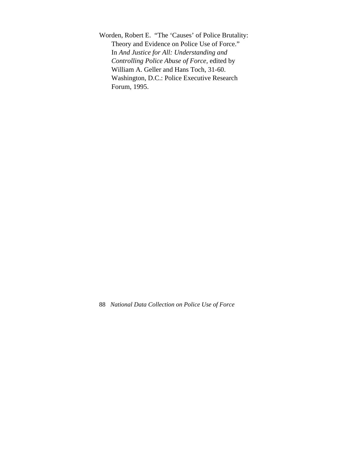Worden, Robert E. "The 'Causes' of Police Brutality: Theory and Evidence on Police Use of Force." In *And Justice for All: Understanding and Controlling Police Abuse of Force,* edited by William A. Geller and Hans Toch, 31-60. Washington, D.C.: Police Executive Research Forum, 1995.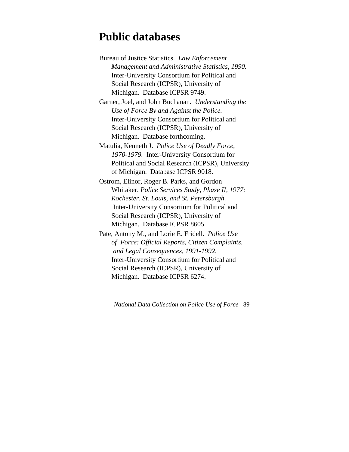## **Public databases**

Bureau of Justice Statistics. *Law Enforcement Management and Administrative Statistics, 1990.* Inter-University Consortium for Political and Social Research (ICPSR), University of Michigan. Database ICPSR 9749.

Garner, Joel, and John Buchanan. *Understanding the Use of Force By and Against the Police.*  Inter-University Consortium for Political and Social Research (ICPSR), University of Michigan. Database forthcoming.

Matulia, Kenneth J. *Police Use of Deadly Force, 1970-1979.* Inter-University Consortium for Political and Social Research (ICPSR), University of Michigan. Database ICPSR 9018.

Ostrom, Elinor, Roger B. Parks, and Gordon Whitaker. *Police Services Study, Phase II, 1977: Rochester, St. Louis, and St. Petersburgh.*  Inter-University Consortium for Political and Social Research (ICPSR), University of Michigan. Database ICPSR 8605.

Pate, Antony M., and Lorie E. Fridell. *Police Use of Force: Official Reports, Citizen Complaints, and Legal Consequences, 1991-1992.*  Inter-University Consortium for Political and Social Research (ICPSR), University of Michigan. Database ICPSR 6274.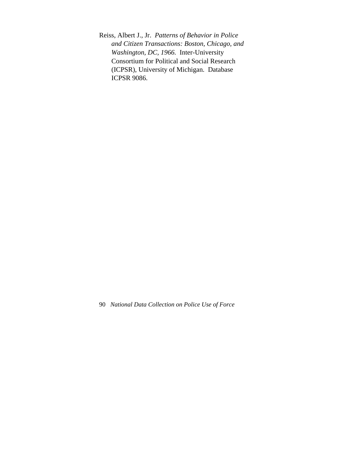Reiss, Albert J., Jr. *Patterns of Behavior in Police and Citizen Transactions: Boston, Chicago, and Washington, DC, 1966.* Inter-University Consortium for Political and Social Research (ICPSR), University of Michigan. Database ICPSR 9086.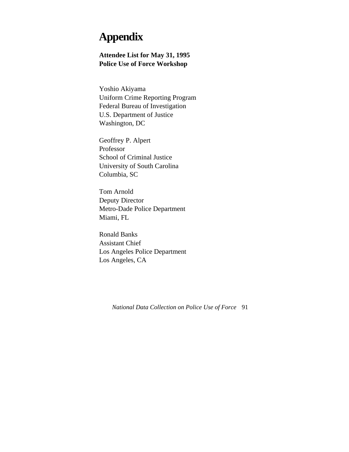# **Appendix**

**Attendee List for May 31, 1995 Police Use of Force Workshop**

Yoshio Akiyama Uniform Crime Reporting Program Federal Bureau of Investigation U.S. Department of Justice Washington, DC

Geoffrey P. Alpert Professor School of Criminal Justice University of South Carolina Columbia, SC

Tom Arnold Deputy Director Metro-Dade Police Department Miami, FL

Ronald Banks Assistant Chief Los Angeles Police Department Los Angeles, CA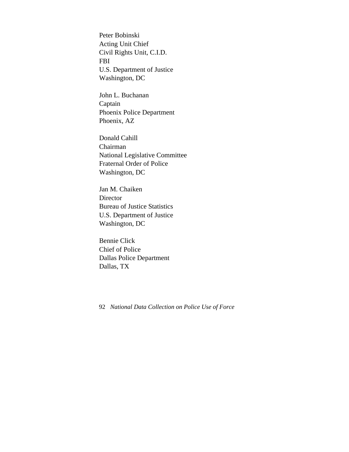Peter Bobinski Acting Unit Chief Civil Rights Unit, C.I.D. FBI U.S. Department of Justice Washington, DC

John L. Buchanan Captain Phoenix Police Department Phoenix, AZ

Donald Cahill Chairman National Legislative Committee Fraternal Order of Police Washington, DC

Jan M. Chaiken Director Bureau of Justice Statistics U.S. Department of Justice Washington, DC

Bennie Click Chief of Police Dallas Police Department Dallas, TX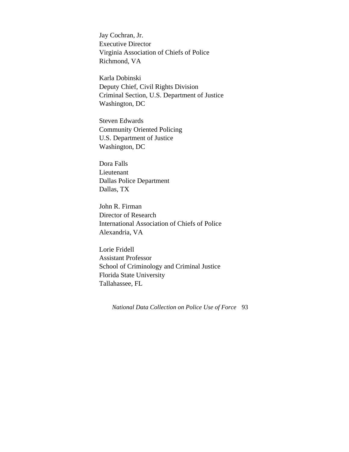Jay Cochran, Jr. Executive Director Virginia Association of Chiefs of Police Richmond, VA

Karla Dobinski Deputy Chief, Civil Rights Division Criminal Section, U.S. Department of Justice Washington, DC

Steven Edwards Community Oriented Policing U.S. Department of Justice Washington, DC

Dora Falls Lieutenant Dallas Police Department Dallas, TX

John R. Firman Director of Research International Association of Chiefs of Police Alexandria, VA

Lorie Fridell Assistant Professor School of Criminology and Criminal Justice Florida State University Tallahassee, FL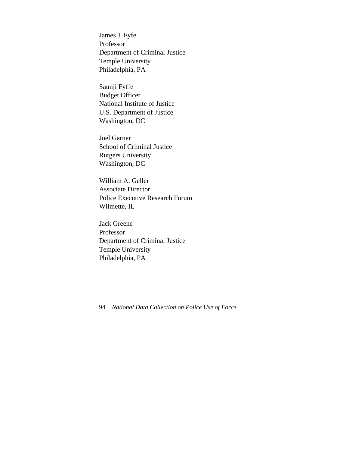James J. Fyfe Professor Department of Criminal Justice Temple University Philadelphia, PA

Saunji Fyffe Budget Officer National Institute of Justice U.S. Department of Justice Washington, DC

Joel Garner School of Criminal Justice Rutgers University Washington, DC

William A. Geller Associate Director Police Executive Research Forum Wilmette, IL

Jack Greene Professor Department of Criminal Justice Temple University Philadelphia, PA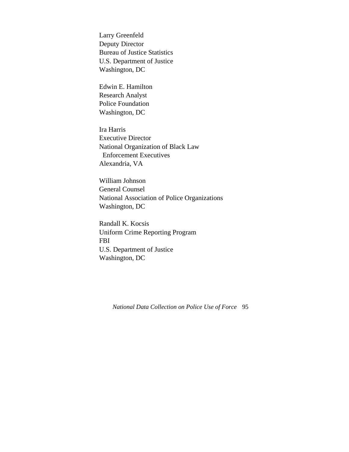Larry Greenfeld Deputy Director Bureau of Justice Statistics U.S. Department of Justice Washington, DC

Edwin E. Hamilton Research Analyst Police Foundation Washington, DC

Ira Harris Executive Director National Organization of Black Law Enforcement Executives Alexandria, VA

William Johnson General Counsel National Association of Police Organizations Washington, DC

Randall K. Kocsis Uniform Crime Reporting Program FBI U.S. Department of Justice Washington, DC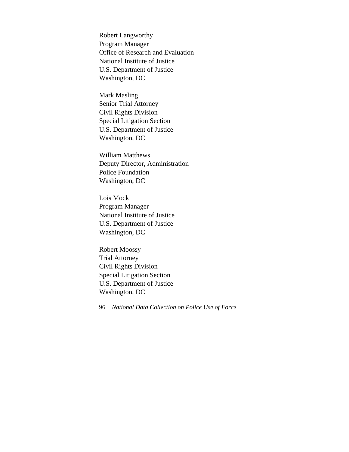Robert Langworthy Program Manager Office of Research and Evaluation National Institute of Justice U.S. Department of Justice Washington, DC

Mark Masling Senior Trial Attorney Civil Rights Division Special Litigation Section U.S. Department of Justice Washington, DC

William Matthews Deputy Director, Administration Police Foundation Washington, DC

Lois Mock Program Manager National Institute of Justice U.S. Department of Justice Washington, DC

Robert Moossy Trial Attorney Civil Rights Division Special Litigation Section U.S. Department of Justice Washington, DC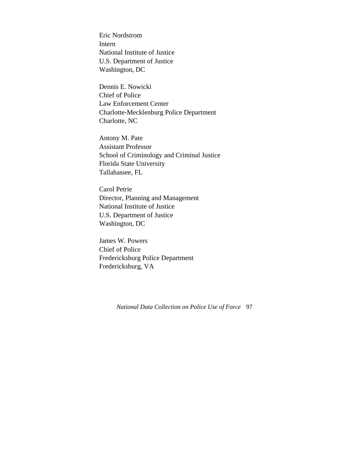Eric Nordstrom Intern National Institute of Justice U.S. Department of Justice Washington, DC

Dennis E. Nowicki Chief of Police Law Enforcement Center Charlotte-Mecklenburg Police Department Charlotte, NC

Antony M. Pate Assistant Professor School of Criminology and Criminal Justice Florida State University Tallahassee, FL

Carol Petrie Director, Planning and Management National Institute of Justice U.S. Department of Justice Washington, DC

James W. Powers Chief of Police Fredericksburg Police Department Fredericksburg, VA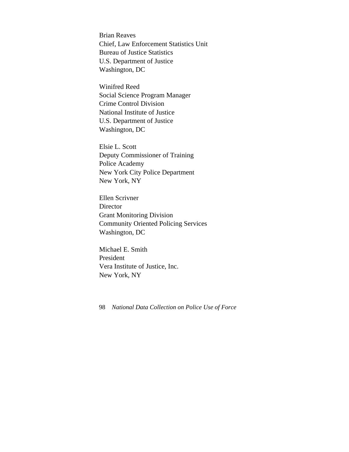Brian Reaves Chief, Law Enforcement Statistics Unit Bureau of Justice Statistics U.S. Department of Justice Washington, DC

Winifred Reed Social Science Program Manager Crime Control Division National Institute of Justice U.S. Department of Justice Washington, DC

Elsie L. Scott Deputy Commissioner of Training Police Academy New York City Police Department New York, NY

Ellen Scrivner **Director** Grant Monitoring Division Community Oriented Policing Services Washington, DC

Michael E. Smith President Vera Institute of Justice, Inc. New York, NY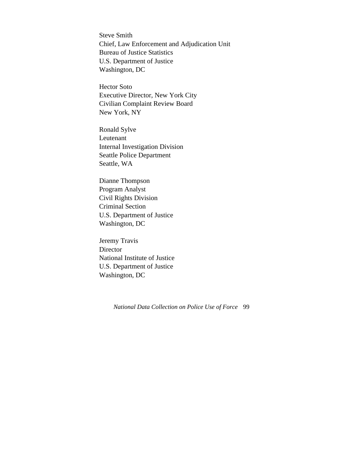Steve Smith Chief, Law Enforcement and Adjudication Unit Bureau of Justice Statistics U.S. Department of Justice Washington, DC

Hector Soto Executive Director, New York City Civilian Complaint Review Board New York, NY

Ronald Sylve Leutenant Internal Investigation Division Seattle Police Department Seattle, WA

Dianne Thompson Program Analyst Civil Rights Division Criminal Section U.S. Department of Justice Washington, DC

Jeremy Travis Director National Institute of Justice U.S. Department of Justice Washington, DC